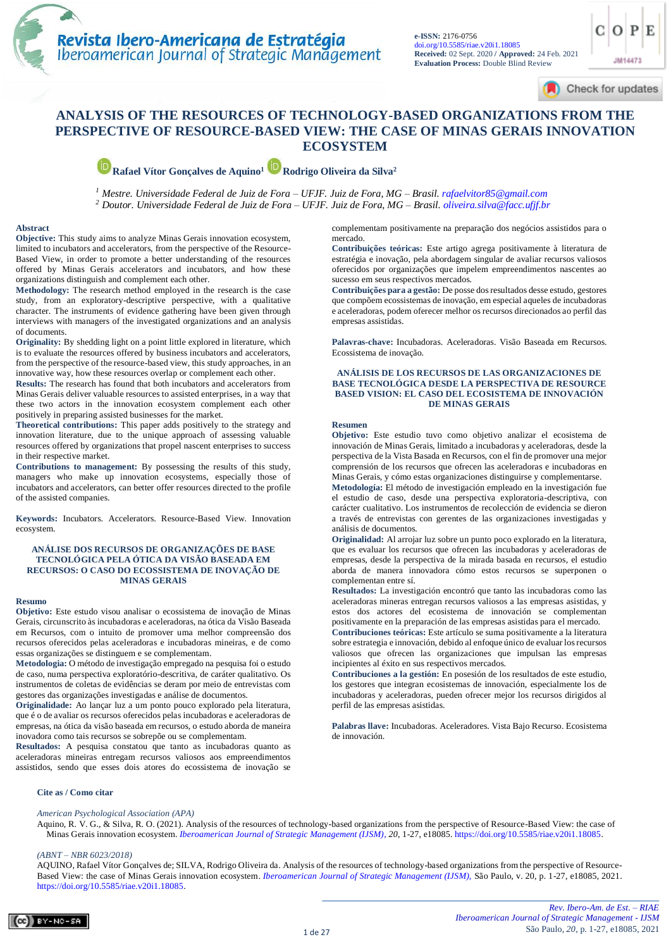Check for updates

JM14473

## **ANALYSIS OF THE RESOURCES OF TECHNOLOGY-BASED ORGANIZATIONS FROM THE [PERSPECTIVE OF RESOURCE-BASED VIEW: THE C](https://periodicos.uninove.br/index.php?journal=riae)ASE OF MINAS GERAIS INNOVATION ECOSYSTEM**

**Rafael Vítor Gonçalves de Aquino1Rodrigo Oliveira da Silva<sup>2</sup>**

*<sup>1</sup> Mestre. Universidade Federal de Juiz de Fora – UFJF. Juiz de Fora, MG – Brasil. [rafaelvitor85@gmail.com](mailto:rafaelvitor85@gmail.com) <sup>2</sup> Doutor. Universidade Federal de Juiz de Fora – UFJF. Juiz de Fora, MG – Brasil[. oliveira.silva@facc.ufjf.br](mailto:oliveira.silva@facc.ufjf.br)*

#### **Abstract**

**Objective:** This study aims to analyze Minas Gerais innovation ecosystem, limited to incubators and accelerators, from the perspective of the Resource-Based View, in order to promote a better understanding of the resources offered by Minas Gerais accelerators and incubators, and how these organizations distinguish and complement each other.

**Methodology:** The research method employed in the research is the case study, from an exploratory-descriptive perspective, with a qualitative character. The instruments of evidence gathering have been given through interviews with managers of the investigated organizations and an analysis of documents.

**Originality:** By shedding light on a point little explored in literature, which is to evaluate the resources offered by business incubators and accelerators, from the perspective of the resource-based view, this study approaches, in an innovative way, how these resources overlap or complement each other.

**Results:** The research has found that both incubators and accelerators from Minas Gerais deliver valuable resources to assisted enterprises, in a way that these two actors in the innovation ecosystem complement each other positively in preparing assisted businesses for the market.

**Theoretical contributions:** This paper adds positively to the strategy and innovation literature, due to the unique approach of assessing valuable resources offered by organizations that propel nascent enterprises to success in their respective market.

**Contributions to management:** By possessing the results of this study, managers who make up innovation ecosystems, especially those of incubators and accelerators, can better offer resources directed to the profile of the assisted companies.

**Keywords:** Incubators. Accelerators. Resource-Based View. Innovation ecosystem.

#### **ANÁLISE DOS RECURSOS DE ORGANIZAÇÕES DE BASE TECNOLÓGICA PELA ÓTICA DA VISÃO BASEADA EM RECURSOS: O CASO DO ECOSSISTEMA DE INOVAÇÃO DE MINAS GERAIS**

#### **Resumo**

**Objetivo:** Este estudo visou analisar o ecossistema de inovação de Minas Gerais, circunscrito às incubadoras e aceleradoras, na ótica da Visão Baseada em Recursos, com o intuito de promover uma melhor compreensão dos recursos oferecidos pelas aceleradoras e incubadoras mineiras, e de como essas organizações se distinguem e se complementam.

**Metodologia:** O método de investigação empregado na pesquisa foi o estudo de caso, numa perspectiva exploratório-descritiva, de caráter qualitativo. Os instrumentos de coletas de evidências se deram por meio de entrevistas com gestores das organizações investigadas e análise de documentos.

**Originalidade:** Ao lançar luz a um ponto pouco explorado pela literatura, que é o de avaliar os recursos oferecidos pelas incubadoras e aceleradoras de empresas, na ótica da visão baseada em recursos, o estudo aborda de maneira inovadora como tais recursos se sobrepõe ou se complementam.

**Resultados:** A pesquisa constatou que tanto as incubadoras quanto as aceleradoras mineiras entregam recursos valiosos aos empreendimentos assistidos, sendo que esses dois atores do ecossistema de inovação se

complementam positivamente na preparação dos negócios assistidos para o mercado.

**Contribuições teóricas:** Este artigo agrega positivamente à literatura de estratégia e inovação, pela abordagem singular de avaliar recursos valiosos oferecidos por organizações que impelem empreendimentos nascentes ao sucesso em seus respectivos mercados.

**Contribuições para a gestão:** De posse dos resultados desse estudo, gestores que compõem ecossistemas de inovação, em especial aqueles de incubadoras e aceleradoras, podem oferecer melhor os recursos direcionados ao perfil das empresas assistidas.

**Palavras-chave:** Incubadoras. Aceleradoras. Visão Baseada em Recursos. Ecossistema de inovação.

#### **ANÁLISIS DE LOS RECURSOS DE LAS ORGANIZACIONES DE BASE TECNOLÓGICA DESDE LA PERSPECTIVA DE RESOURCE BASED VISION: EL CASO DEL ECOSISTEMA DE INNOVACIÓN DE MINAS GERAIS**

#### **Resumen**

**Objetivo:** Este estudio tuvo como objetivo analizar el ecosistema de innovación de Minas Gerais, limitado a incubadoras y aceleradoras, desde la perspectiva de la Vista Basada en Recursos, con el fin de promover una mejor comprensión de los recursos que ofrecen las aceleradoras e incubadoras en Minas Gerais, y cómo estas organizaciones distinguirse y complementarse.

**Metodología:** El método de investigación empleado en la investigación fue el estudio de caso, desde una perspectiva exploratoria-descriptiva, con carácter cualitativo. Los instrumentos de recolección de evidencia se dieron a través de entrevistas con gerentes de las organizaciones investigadas y análisis de documentos.

**Originalidad:** Al arrojar luz sobre un punto poco explorado en la literatura, que es evaluar los recursos que ofrecen las incubadoras y aceleradoras de empresas, desde la perspectiva de la mirada basada en recursos, el estudio aborda de manera innovadora cómo estos recursos se superponen o complementan entre sí.

**Resultados:** La investigación encontró que tanto las incubadoras como las aceleradoras mineras entregan recursos valiosos a las empresas asistidas, y estos dos actores del ecosistema de innovación se complementan positivamente en la preparación de las empresas asistidas para el mercado.

**Contribuciones teóricas:** Este artículo se suma positivamente a la literatura sobre estrategia e innovación, debido al enfoque único de evaluar los recursos valiosos que ofrecen las organizaciones que impulsan las empresas incipientes al éxito en sus respectivos mercados.

**Contribuciones a la gestión:** En posesión de los resultados de este estudio, los gestores que integran ecosistemas de innovación, especialmente los de incubadoras y aceleradoras, pueden ofrecer mejor los recursos dirigidos al perfil de las empresas asistidas.

**Palabras llave:** Incubadoras. Aceleradores. Vista Bajo Recurso. Ecosistema de innovación.

#### **Cite as / Como citar**

#### *American Psychological Association (APA)*

Aquino, R. V. G., & Silva, R. O. (2021). Analysis of the resources of technology-based organizations from the perspective of Resource-Based View: the case of Minas Gerais innovation ecosystem. *[Iberoamerican Journal of Strategic Management \(IJSM\),](https://periodicos.uninove.br/index.php?journal=riae) 20*, 1-27, e18085[. https://doi.org/10.5585/riae.v20i1.18085.](https://doi.org/10.5585/riae.v20i1.18085)

#### *(ABNT – NBR 6023/2018)*

AQUINO, Rafael Vítor Gonçalves de; SILVA, Rodrigo Oliveira da. Analysis of the resources of technology-based organizations from the perspective of Resource-Based View: the case of Minas Gerais innovation ecosystem. *[Iberoamerican Journal of Strategic Management \(IJSM\),](file://///fserver/files/Editora_Uninove/PERIÓDICOS%20UNINOVE/AaZ/RIAE/Publicações/2020/19n2/4_ART_14585/LP/old/Iberoamerican%20Journal%20of%20Strategic%20Management%20(IJSM),)* São Paulo, v. 20, p. 1-27, e18085, 2021. [https://doi.org/10.5585/riae.v20i1.18085.](https://doi.org/10.5585/riae.v20i1.18085)

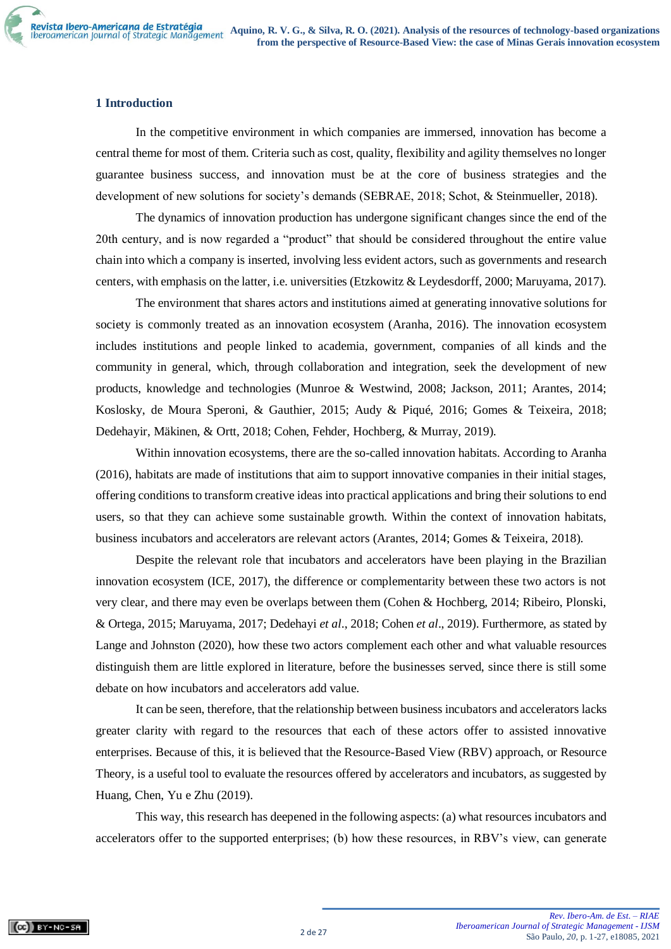## **1 Introduction**

In the competitive environment in which companies are immersed, innovation has become a central theme for most of them. Criteria such as cost, quality, flexibility and agility themselves no longer guarantee business success, and innovation must be at the core of business strategies and the development of new solutions for society's demands (SEBRAE, 2018; Schot, & Steinmueller, 2018).

The dynamics of innovation production has undergone significant changes since the end of the 20th century, and is now regarded a "product" that should be considered throughout the entire value chain into which a company is inserted, involving less evident actors, such as governments and research centers, with emphasis on the latter, i.e. universities (Etzkowitz & Leydesdorff, 2000; Maruyama, 2017).

The environment that shares actors and institutions aimed at generating innovative solutions for society is commonly treated as an innovation ecosystem (Aranha, 2016). The innovation ecosystem includes institutions and people linked to academia, government, companies of all kinds and the community in general, which, through collaboration and integration, seek the development of new products, knowledge and technologies (Munroe & Westwind, 2008; Jackson, 2011; Arantes, 2014; Koslosky, de Moura Speroni, & Gauthier, 2015; Audy & Piqué, 2016; Gomes & Teixeira, 2018; Dedehayir, Mäkinen, & Ortt, 2018; Cohen, Fehder, Hochberg, & Murray, 2019).

Within innovation ecosystems, there are the so-called innovation habitats. According to Aranha (2016), habitats are made of institutions that aim to support innovative companies in their initial stages, offering conditions to transform creative ideas into practical applications and bring their solutions to end users, so that they can achieve some sustainable growth. Within the context of innovation habitats, business incubators and accelerators are relevant actors (Arantes, 2014; Gomes & Teixeira, 2018).

Despite the relevant role that incubators and accelerators have been playing in the Brazilian innovation ecosystem (ICE, 2017), the difference or complementarity between these two actors is not very clear, and there may even be overlaps between them (Cohen & Hochberg, 2014; Ribeiro, Plonski, & Ortega, 2015; Maruyama, 2017; Dedehayi *et al*., 2018; Cohen *et al*., 2019). Furthermore, as stated by Lange and Johnston (2020), how these two actors complement each other and what valuable resources distinguish them are little explored in literature, before the businesses served, since there is still some debate on how incubators and accelerators add value.

It can be seen, therefore, that the relationship between business incubators and accelerators lacks greater clarity with regard to the resources that each of these actors offer to assisted innovative enterprises. Because of this, it is believed that the Resource-Based View (RBV) approach, or Resource Theory, is a useful tool to evaluate the resources offered by accelerators and incubators, as suggested by Huang, Chen, Yu e Zhu (2019).

This way, this research has deepened in the following aspects: (a) what resources incubators and accelerators offer to the supported enterprises; (b) how these resources, in RBV's view, can generate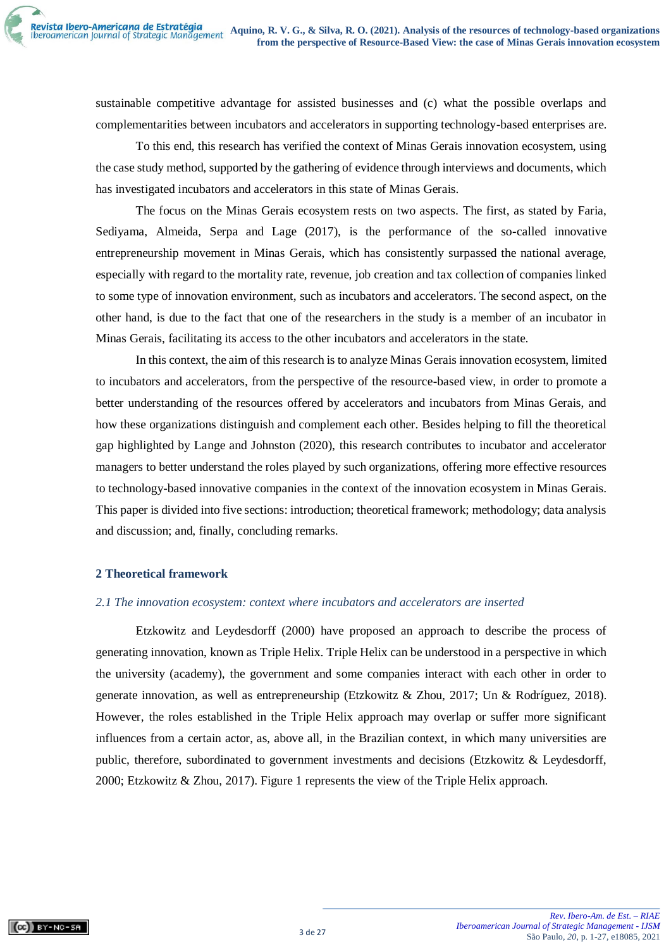sustainable competitive advantage for assisted businesses and (c) what the possible overlaps and complementarities between incubators and accelerators in supporting technology-based enterprises are.

To this end, this research has verified the context of Minas Gerais innovation ecosystem, using the case study method, supported by the gathering of evidence through interviews and documents, which has investigated incubators and accelerators in this state of Minas Gerais.

The focus on the Minas Gerais ecosystem rests on two aspects. The first, as stated by Faria, Sediyama, Almeida, Serpa and Lage (2017), is the performance of the so-called innovative entrepreneurship movement in Minas Gerais, which has consistently surpassed the national average, especially with regard to the mortality rate, revenue, job creation and tax collection of companies linked to some type of innovation environment, such as incubators and accelerators. The second aspect, on the other hand, is due to the fact that one of the researchers in the study is a member of an incubator in Minas Gerais, facilitating its access to the other incubators and accelerators in the state.

In this context, the aim of this research is to analyze Minas Gerais innovation ecosystem, limited to incubators and accelerators, from the perspective of the resource-based view, in order to promote a better understanding of the resources offered by accelerators and incubators from Minas Gerais, and how these organizations distinguish and complement each other. Besides helping to fill the theoretical gap highlighted by Lange and Johnston (2020), this research contributes to incubator and accelerator managers to better understand the roles played by such organizations, offering more effective resources to technology-based innovative companies in the context of the innovation ecosystem in Minas Gerais. This paper is divided into five sections: introduction; theoretical framework; methodology; data analysis and discussion; and, finally, concluding remarks.

## **2 Theoretical framework**

#### *2.1 The innovation ecosystem: context where incubators and accelerators are inserted*

Etzkowitz and Leydesdorff (2000) have proposed an approach to describe the process of generating innovation, known as Triple Helix. Triple Helix can be understood in a perspective in which the university (academy), the government and some companies interact with each other in order to generate innovation, as well as entrepreneurship (Etzkowitz & Zhou, 2017; Un & Rodríguez, 2018). However, the roles established in the Triple Helix approach may overlap or suffer more significant influences from a certain actor, as, above all, in the Brazilian context, in which many universities are public, therefore, subordinated to government investments and decisions (Etzkowitz & Leydesdorff, 2000; Etzkowitz & Zhou, 2017). Figure 1 represents the view of the Triple Helix approach.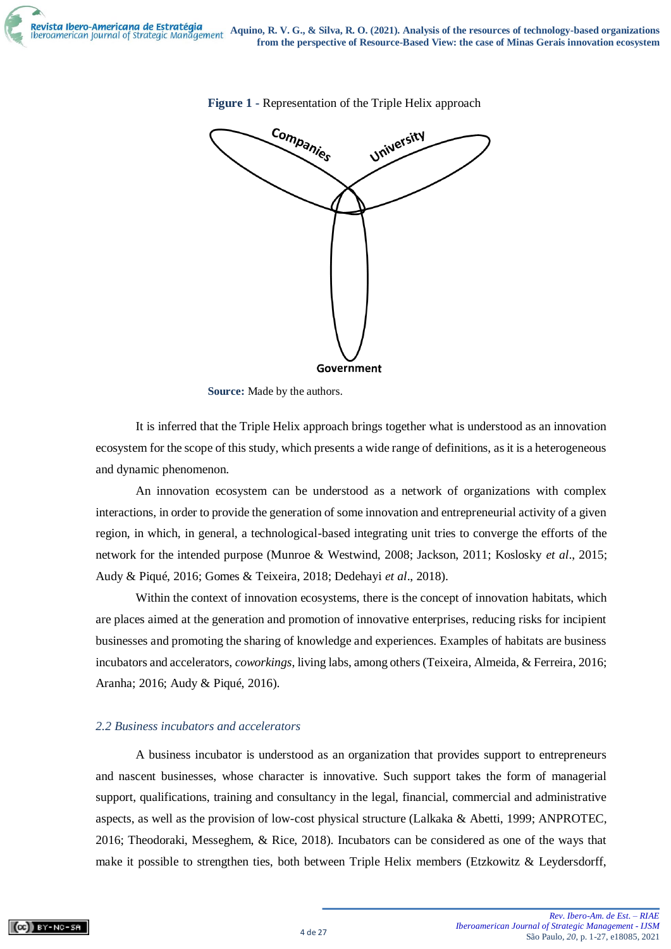

**Figure 1 -** Representation of the Triple Helix approach



It is inferred that the Triple Helix approach brings together what is understood as an innovation ecosystem for the scope of this study, which presents a wide range of definitions, as it is a heterogeneous and dynamic phenomenon.

An innovation ecosystem can be understood as a network of organizations with complex interactions, in order to provide the generation of some innovation and entrepreneurial activity of a given region, in which, in general, a technological-based integrating unit tries to converge the efforts of the network for the intended purpose (Munroe & Westwind, 2008; Jackson, 2011; Koslosky *et al*., 2015; Audy & Piqué, 2016; Gomes & Teixeira, 2018; Dedehayi *et al*., 2018).

Within the context of innovation ecosystems, there is the concept of innovation habitats, which are places aimed at the generation and promotion of innovative enterprises, reducing risks for incipient businesses and promoting the sharing of knowledge and experiences. Examples of habitats are business incubators and accelerators, *coworkings*, living labs, among others (Teixeira, Almeida, & Ferreira, 2016; Aranha; 2016; Audy & Piqué, 2016).

## *2.2 Business incubators and accelerators*

A business incubator is understood as an organization that provides support to entrepreneurs and nascent businesses, whose character is innovative. Such support takes the form of managerial support, qualifications, training and consultancy in the legal, financial, commercial and administrative aspects, as well as the provision of low-cost physical structure (Lalkaka & Abetti, 1999; ANPROTEC, 2016; Theodoraki, Messeghem, & Rice, 2018). Incubators can be considered as one of the ways that make it possible to strengthen ties, both between Triple Helix members (Etzkowitz & Leydersdorff,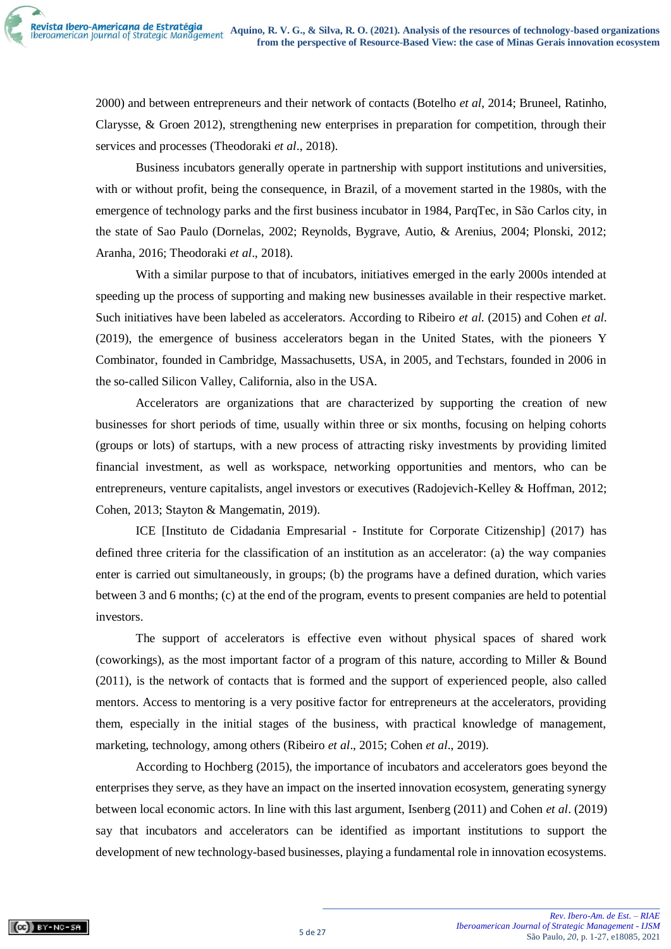2000) and between entrepreneurs and their network of contacts (Botelho *et al*, 2014; Bruneel, Ratinho, Clarysse, & Groen 2012), strengthening new enterprises in preparation for competition, through their services and processes (Theodoraki *et al*., 2018).

Business incubators generally operate in partnership with support institutions and universities, with or without profit, being the consequence, in Brazil, of a movement started in the 1980s, with the emergence of technology parks and the first business incubator in 1984, ParqTec, in São Carlos city, in the state of Sao Paulo (Dornelas, 2002; Reynolds, Bygrave, Autio, & Arenius, 2004; Plonski, 2012; Aranha, 2016; Theodoraki *et al*., 2018).

With a similar purpose to that of incubators, initiatives emerged in the early 2000s intended at speeding up the process of supporting and making new businesses available in their respective market. Such initiatives have been labeled as accelerators. According to Ribeiro *et al*. (2015) and Cohen *et al*. (2019), the emergence of business accelerators began in the United States, with the pioneers Y Combinator, founded in Cambridge, Massachusetts, USA, in 2005, and Techstars, founded in 2006 in the so-called Silicon Valley, California, also in the USA.

Accelerators are organizations that are characterized by supporting the creation of new businesses for short periods of time, usually within three or six months, focusing on helping cohorts (groups or lots) of startups, with a new process of attracting risky investments by providing limited financial investment, as well as workspace, networking opportunities and mentors, who can be entrepreneurs, venture capitalists, angel investors or executives (Radojevich-Kelley & Hoffman, 2012; Cohen, 2013; Stayton & Mangematin, 2019).

ICE [Instituto de Cidadania Empresarial - Institute for Corporate Citizenship] (2017) has defined three criteria for the classification of an institution as an accelerator: (a) the way companies enter is carried out simultaneously, in groups; (b) the programs have a defined duration, which varies between 3 and 6 months; (c) at the end of the program, events to present companies are held to potential investors.

The support of accelerators is effective even without physical spaces of shared work (coworkings), as the most important factor of a program of this nature, according to Miller & Bound (2011), is the network of contacts that is formed and the support of experienced people, also called mentors. Access to mentoring is a very positive factor for entrepreneurs at the accelerators, providing them, especially in the initial stages of the business, with practical knowledge of management, marketing, technology, among others (Ribeiro *et al*., 2015; Cohen *et al*., 2019).

According to Hochberg (2015), the importance of incubators and accelerators goes beyond the enterprises they serve, as they have an impact on the inserted innovation ecosystem, generating synergy between local economic actors. In line with this last argument, Isenberg (2011) and Cohen *et al*. (2019) say that incubators and accelerators can be identified as important institutions to support the development of new technology-based businesses, playing a fundamental role in innovation ecosystems.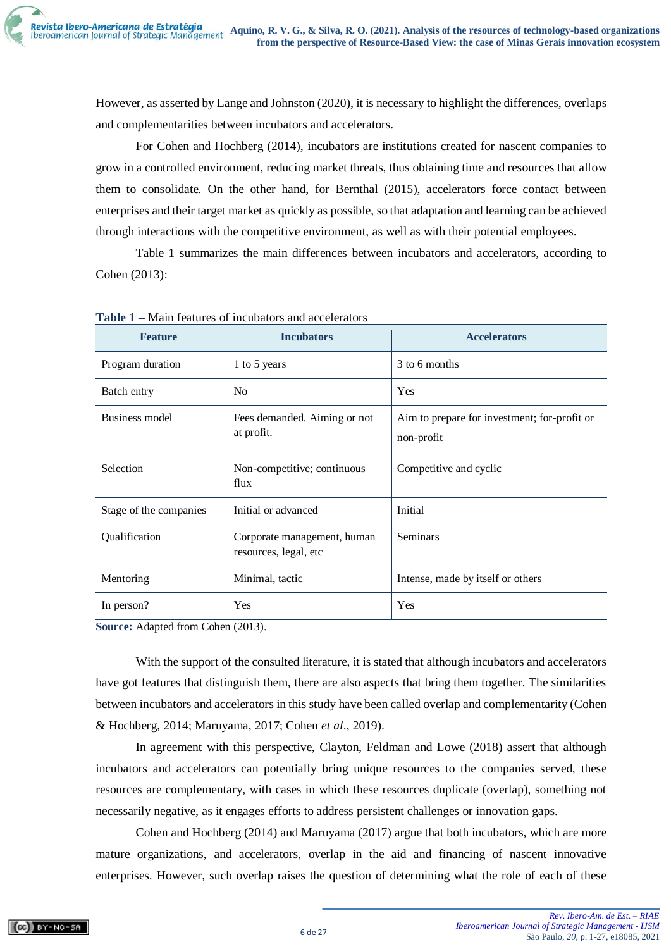However, as asserted by Lange and Johnston (2020), it is necessary to highlight the differences, overlaps and complementarities between incubators and accelerators.

For Cohen and Hochberg (2014), incubators are institutions created for nascent companies to grow in a controlled environment, reducing market threats, thus obtaining time and resources that allow them to consolidate. On the other hand, for Bernthal (2015), accelerators force contact between enterprises and their target market as quickly as possible, so that adaptation and learning can be achieved through interactions with the competitive environment, as well as with their potential employees.

Table 1 summarizes the main differences between incubators and accelerators, according to Cohen (2013):

| <b>Feature</b>         | <b>Incubators</b>                                    | <b>Accelerators</b>                                        |
|------------------------|------------------------------------------------------|------------------------------------------------------------|
| Program duration       | 1 to 5 years                                         | 3 to 6 months                                              |
| Batch entry            | N <sub>0</sub>                                       | Yes                                                        |
| Business model         | Fees demanded. Aiming or not<br>at profit.           | Aim to prepare for investment; for-profit or<br>non-profit |
| Selection              | Non-competitive; continuous<br>flux                  | Competitive and cyclic                                     |
| Stage of the companies | Initial or advanced                                  | Initial                                                    |
| Qualification          | Corporate management, human<br>resources, legal, etc | Seminars                                                   |
| Mentoring              | Minimal, tactic                                      | Intense, made by itself or others                          |
| In person?             | <b>Yes</b>                                           | Yes                                                        |

**Table 1 –** Main features of incubators and accelerators

**Source:** Adapted from Cohen (2013).

With the support of the consulted literature, it is stated that although incubators and accelerators have got features that distinguish them, there are also aspects that bring them together. The similarities between incubators and accelerators in this study have been called overlap and complementarity (Cohen & Hochberg, 2014; Maruyama, 2017; Cohen *et al*., 2019).

In agreement with this perspective, Clayton, Feldman and Lowe (2018) assert that although incubators and accelerators can potentially bring unique resources to the companies served, these resources are complementary, with cases in which these resources duplicate (overlap), something not necessarily negative, as it engages efforts to address persistent challenges or innovation gaps.

Cohen and Hochberg (2014) and Maruyama (2017) argue that both incubators, which are more mature organizations, and accelerators, overlap in the aid and financing of nascent innovative enterprises. However, such overlap raises the question of determining what the role of each of these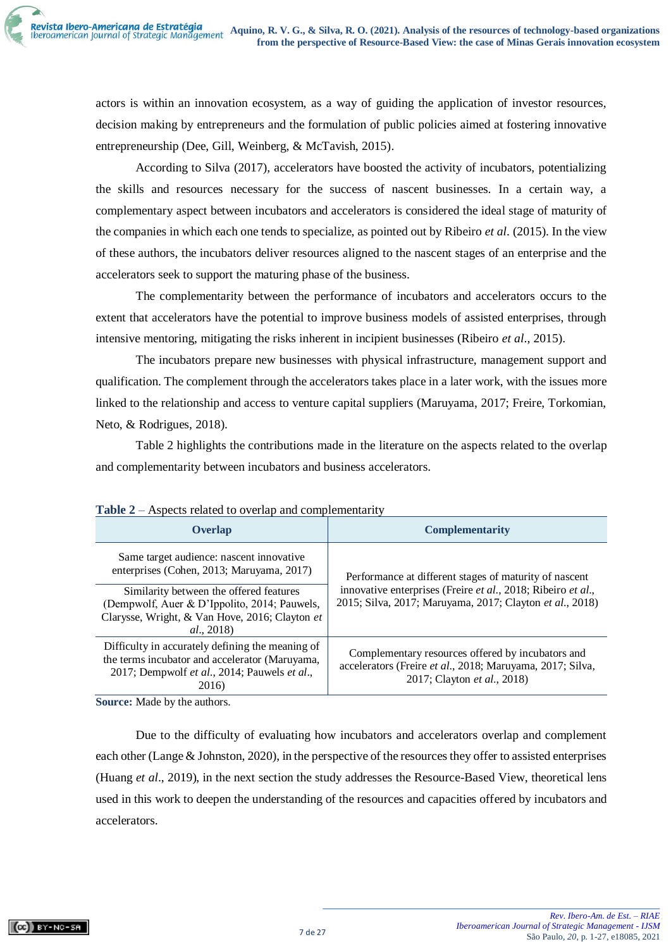actors is within an innovation ecosystem, as a way of guiding the application of investor resources, decision making by entrepreneurs and the formulation of public policies aimed at fostering innovative entrepreneurship (Dee, Gill, Weinberg, & McTavish, 2015).

According to Silva (2017), accelerators have boosted the activity of incubators, potentializing the skills and resources necessary for the success of nascent businesses. In a certain way, a complementary aspect between incubators and accelerators is considered the ideal stage of maturity of the companies in which each one tends to specialize, as pointed out by Ribeiro *et al*. (2015). In the view of these authors, the incubators deliver resources aligned to the nascent stages of an enterprise and the accelerators seek to support the maturing phase of the business.

The complementarity between the performance of incubators and accelerators occurs to the extent that accelerators have the potential to improve business models of assisted enterprises, through intensive mentoring, mitigating the risks inherent in incipient businesses (Ribeiro *et al*., 2015).

The incubators prepare new businesses with physical infrastructure, management support and qualification. The complement through the accelerators takes place in a later work, with the issues more linked to the relationship and access to venture capital suppliers (Maruyama, 2017; Freire, Torkomian, Neto, & Rodrigues, 2018).

Table 2 highlights the contributions made in the literature on the aspects related to the overlap and complementarity between incubators and business accelerators.

| Overlap                                                                                                                                                     | <b>Complementarity</b>                                                                                                                        |
|-------------------------------------------------------------------------------------------------------------------------------------------------------------|-----------------------------------------------------------------------------------------------------------------------------------------------|
| Same target audience: nascent innovative<br>enterprises (Cohen, 2013; Maruyama, 2017)                                                                       | Performance at different stages of maturity of nascent                                                                                        |
| Similarity between the offered features<br>(Dempwolf, Auer & D'Ippolito, 2014; Pauwels,<br>Clarysse, Wright, & Van Hove, 2016; Clayton et<br>al., 2018)     | innovative enterprises (Freire et al., 2018; Ribeiro et al.,<br>2015; Silva, 2017; Maruyama, 2017; Clayton et al., 2018)                      |
| Difficulty in accurately defining the meaning of<br>the terms incubator and accelerator (Maruyama,<br>2017; Dempwolf et al., 2014; Pauwels et al.,<br>2016) | Complementary resources offered by incubators and<br>accelerators (Freire et al., 2018; Maruyama, 2017; Silva,<br>2017; Clayton et al., 2018) |

| <b>Table 2</b> – Aspects related to overlap and complementarity |  |
|-----------------------------------------------------------------|--|
|-----------------------------------------------------------------|--|

**Source:** Made by the authors.

Due to the difficulty of evaluating how incubators and accelerators overlap and complement each other (Lange & Johnston, 2020), in the perspective of the resources they offer to assisted enterprises (Huang *et al*., 2019), in the next section the study addresses the Resource-Based View, theoretical lens used in this work to deepen the understanding of the resources and capacities offered by incubators and accelerators.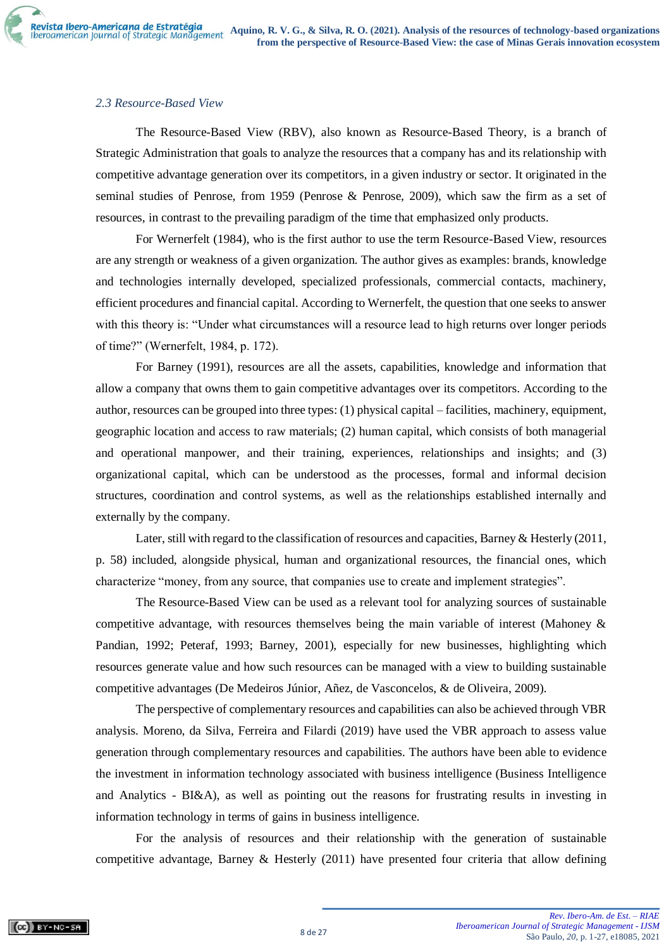# *2.3 Resource-Based View*

The Resource-Based View (RBV), also known as Resource-Based Theory, is a branch of Strategic Administration that goals to analyze the resources that a company has and its relationship with competitive advantage generation over its competitors, in a given industry or sector. It originated in the seminal studies of Penrose, from 1959 (Penrose & Penrose, 2009), which saw the firm as a set of resources, in contrast to the prevailing paradigm of the time that emphasized only products.

For Wernerfelt (1984), who is the first author to use the term Resource-Based View, resources are any strength or weakness of a given organization. The author gives as examples: brands, knowledge and technologies internally developed, specialized professionals, commercial contacts, machinery, efficient procedures and financial capital. According to Wernerfelt, the question that one seeks to answer with this theory is: "Under what circumstances will a resource lead to high returns over longer periods of time?" (Wernerfelt, 1984, p. 172).

For Barney (1991), resources are all the assets, capabilities, knowledge and information that allow a company that owns them to gain competitive advantages over its competitors. According to the author, resources can be grouped into three types: (1) physical capital – facilities, machinery, equipment, geographic location and access to raw materials; (2) human capital, which consists of both managerial and operational manpower, and their training, experiences, relationships and insights; and (3) organizational capital, which can be understood as the processes, formal and informal decision structures, coordination and control systems, as well as the relationships established internally and externally by the company.

Later, still with regard to the classification of resources and capacities, Barney & Hesterly (2011, p. 58) included, alongside physical, human and organizational resources, the financial ones, which characterize "money, from any source, that companies use to create and implement strategies".

The Resource-Based View can be used as a relevant tool for analyzing sources of sustainable competitive advantage, with resources themselves being the main variable of interest (Mahoney & Pandian, 1992; Peteraf, 1993; Barney, 2001), especially for new businesses, highlighting which resources generate value and how such resources can be managed with a view to building sustainable competitive advantages (De Medeiros Júnior, Añez, de Vasconcelos, & de Oliveira, 2009).

The perspective of complementary resources and capabilities can also be achieved through VBR analysis. Moreno, da Silva, Ferreira and Filardi (2019) have used the VBR approach to assess value generation through complementary resources and capabilities. The authors have been able to evidence the investment in information technology associated with business intelligence (Business Intelligence and Analytics - BI&A), as well as pointing out the reasons for frustrating results in investing in information technology in terms of gains in business intelligence.

For the analysis of resources and their relationship with the generation of sustainable competitive advantage, Barney & Hesterly (2011) have presented four criteria that allow defining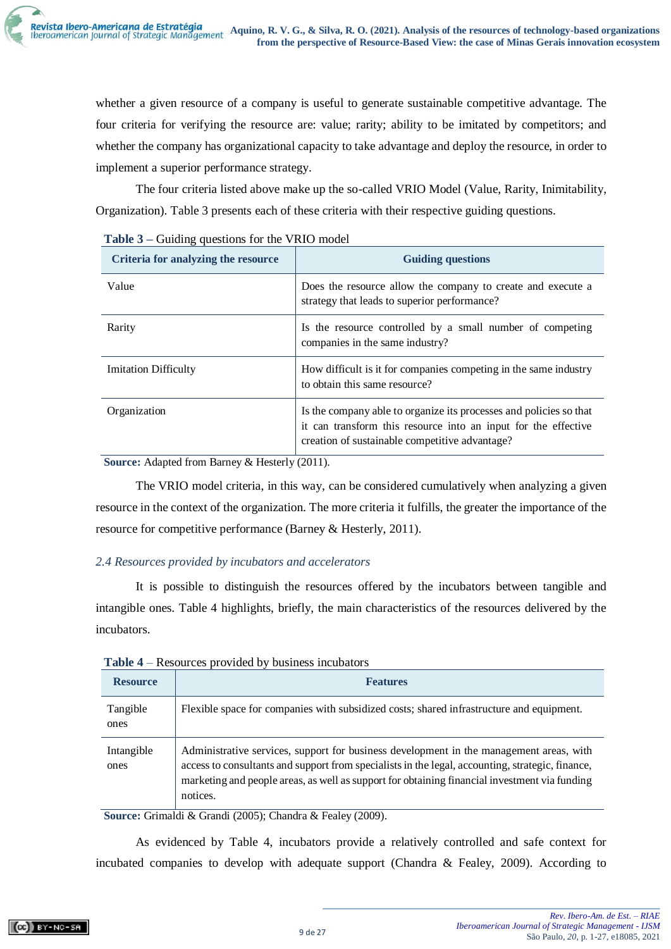whether a given resource of a company is useful to generate sustainable competitive advantage. The four criteria for verifying the resource are: value; rarity; ability to be imitated by competitors; and whether the company has organizational capacity to take advantage and deploy the resource, in order to implement a superior performance strategy.

The four criteria listed above make up the so-called VRIO Model (Value, Rarity, Inimitability, Organization). Table 3 presents each of these criteria with their respective guiding questions.

| Criteria for analyzing the resource | <b>Guiding questions</b>                                                                                                                                                               |
|-------------------------------------|----------------------------------------------------------------------------------------------------------------------------------------------------------------------------------------|
| Value                               | Does the resource allow the company to create and execute a<br>strategy that leads to superior performance?                                                                            |
| Rarity                              | Is the resource controlled by a small number of competing<br>companies in the same industry?                                                                                           |
| <b>Imitation Difficulty</b>         | How difficult is it for companies competing in the same industry<br>to obtain this same resource?                                                                                      |
| Organization                        | Is the company able to organize its processes and policies so that<br>it can transform this resource into an input for the effective<br>creation of sustainable competitive advantage? |

| Table 3 – Guiding questions for the VRIO model |  |  |  |
|------------------------------------------------|--|--|--|
|                                                |  |  |  |

**Source:** Adapted from Barney & Hesterly (2011).

The VRIO model criteria, in this way, can be considered cumulatively when analyzing a given resource in the context of the organization. The more criteria it fulfills, the greater the importance of the resource for competitive performance (Barney & Hesterly, 2011).

# *2.4 Resources provided by incubators and accelerators*

It is possible to distinguish the resources offered by the incubators between tangible and intangible ones. Table 4 highlights, briefly, the main characteristics of the resources delivered by the incubators.

| <b>Resource</b>    | <b>Features</b>                                                                                                                                                                                                                                                                                          |
|--------------------|----------------------------------------------------------------------------------------------------------------------------------------------------------------------------------------------------------------------------------------------------------------------------------------------------------|
| Tangible<br>ones   | Flexible space for companies with subsidized costs; shared infrastructure and equipment.                                                                                                                                                                                                                 |
| Intangible<br>ones | Administrative services, support for business development in the management areas, with<br>access to consultants and support from specialists in the legal, accounting, strategic, finance,<br>marketing and people areas, as well as support for obtaining financial investment via funding<br>notices. |

**Table 4** – Resources provided by business incubators

**Source:** Grimaldi & Grandi (2005); Chandra & Fealey (2009).

As evidenced by Table 4, incubators provide a relatively controlled and safe context for incubated companies to develop with adequate support (Chandra & Fealey, 2009). According to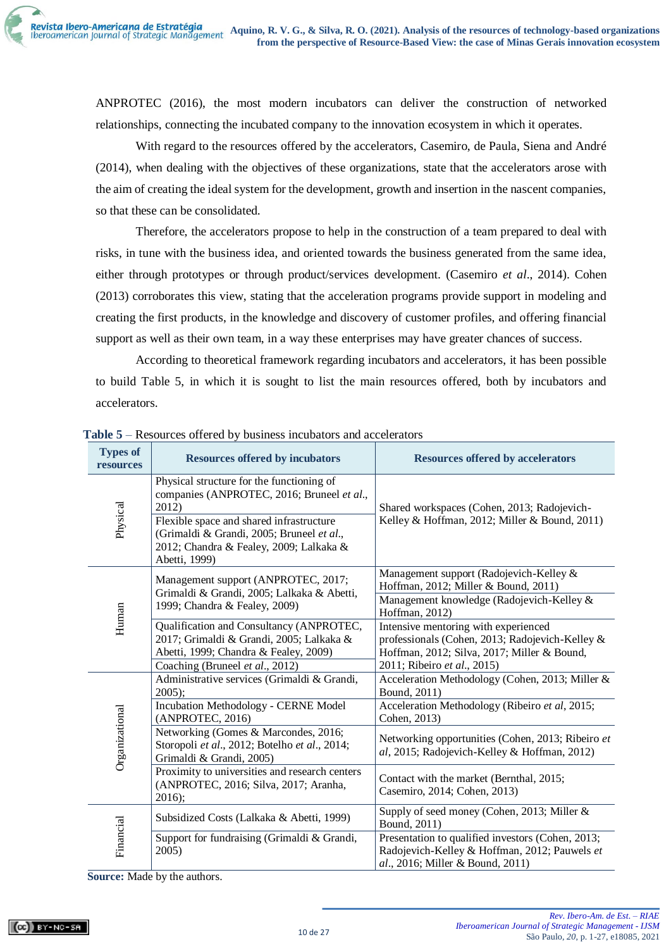ANPROTEC (2016), the most modern incubators can deliver the construction of networked relationships, connecting the incubated company to the innovation ecosystem in which it operates.

With regard to the resources offered by the accelerators, Casemiro, de Paula, Siena and André (2014), when dealing with the objectives of these organizations, state that the accelerators arose with the aim of creating the ideal system for the development, growth and insertion in the nascent companies, so that these can be consolidated.

Therefore, the accelerators propose to help in the construction of a team prepared to deal with risks, in tune with the business idea, and oriented towards the business generated from the same idea, either through prototypes or through product/services development. (Casemiro *et al*., 2014). Cohen (2013) corroborates this view, stating that the acceleration programs provide support in modeling and creating the first products, in the knowledge and discovery of customer profiles, and offering financial support as well as their own team, in a way these enterprises may have greater chances of success.

According to theoretical framework regarding incubators and accelerators, it has been possible to build Table 5, in which it is sought to list the main resources offered, both by incubators and accelerators.

| <b>Types of</b><br>resources | <b>Resources offered by incubators</b>                                                                                                                           | <b>Resources offered by accelerators</b>                                                                                                                              |
|------------------------------|------------------------------------------------------------------------------------------------------------------------------------------------------------------|-----------------------------------------------------------------------------------------------------------------------------------------------------------------------|
|                              | Physical structure for the functioning of<br>companies (ANPROTEC, 2016; Bruneel et al.,<br>2012)                                                                 | Shared workspaces (Cohen, 2013; Radojevich-                                                                                                                           |
| Physical                     | Flexible space and shared infrastructure<br>(Grimaldi & Grandi, 2005; Bruneel et al.,<br>2012; Chandra & Fealey, 2009; Lalkaka &<br>Abetti, 1999)                | Kelley & Hoffman, 2012; Miller & Bound, 2011)                                                                                                                         |
|                              | Management support (ANPROTEC, 2017;<br>Grimaldi & Grandi, 2005; Lalkaka & Abetti,<br>1999; Chandra & Fealey, 2009)                                               | Management support (Radojevich-Kelley &<br>Hoffman, 2012; Miller & Bound, 2011)<br>Management knowledge (Radojevich-Kelley &<br>Hoffman, 2012)                        |
| Human                        | Qualification and Consultancy (ANPROTEC,<br>2017; Grimaldi & Grandi, 2005; Lalkaka &<br>Abetti, 1999; Chandra & Fealey, 2009)<br>Coaching (Bruneel et al., 2012) | Intensive mentoring with experienced<br>professionals (Cohen, 2013; Radojevich-Kelley &<br>Hoffman, 2012; Silva, 2017; Miller & Bound,<br>2011; Ribeiro et al., 2015) |
|                              | Administrative services (Grimaldi & Grandi,<br>$2005$ ;                                                                                                          | Acceleration Methodology (Cohen, 2013; Miller &<br>Bound, 2011)                                                                                                       |
|                              | <b>Incubation Methodology - CERNE Model</b><br>(ANPROTEC, 2016)                                                                                                  | Acceleration Methodology (Ribeiro et al, 2015;<br>Cohen, 2013)                                                                                                        |
| Organizational               | Networking (Gomes & Marcondes, 2016;<br>Storopoli et al., 2012; Botelho et al., 2014;<br>Grimaldi & Grandi, 2005)                                                | Networking opportunities (Cohen, 2013; Ribeiro et<br>al, 2015; Radojevich-Kelley & Hoffman, 2012)                                                                     |
|                              | Proximity to universities and research centers<br>(ANPROTEC, 2016; Silva, 2017; Aranha,<br>$2016$ ;                                                              | Contact with the market (Bernthal, 2015;<br>Casemiro, 2014; Cohen, 2013)                                                                                              |
|                              | Subsidized Costs (Lalkaka & Abetti, 1999)                                                                                                                        | Supply of seed money (Cohen, 2013; Miller &<br>Bound, 2011)                                                                                                           |
| Financial                    | Support for fundraising (Grimaldi & Grandi,<br>2005)                                                                                                             | Presentation to qualified investors (Cohen, 2013;<br>Radojevich-Kelley & Hoffman, 2012; Pauwels et<br>al., 2016; Miller & Bound, 2011)                                |

**Table 5** – Resources offered by business incubators and accelerators

**Source:** Made by the authors.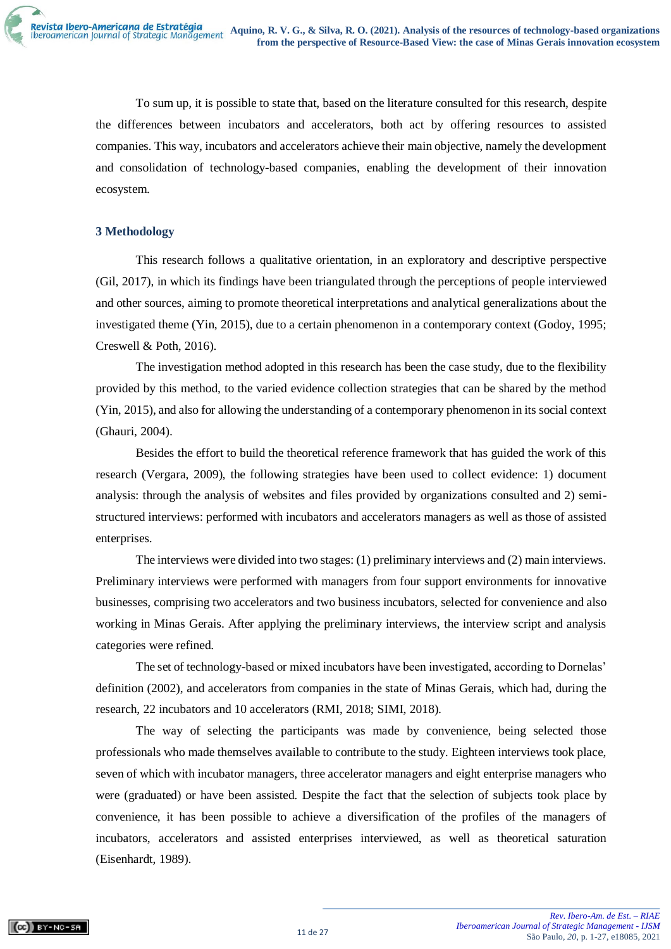To sum up, it is possible to state that, based on the literature consulted for this research, despite the differences between incubators and accelerators, both act by offering resources to assisted companies. This way, incubators and accelerators achieve their main objective, namely the development and consolidation of technology-based companies, enabling the development of their innovation ecosystem.

### **3 Methodology**

This research follows a qualitative orientation, in an exploratory and descriptive perspective (Gil, 2017), in which its findings have been triangulated through the perceptions of people interviewed and other sources, aiming to promote theoretical interpretations and analytical generalizations about the investigated theme (Yin, 2015), due to a certain phenomenon in a contemporary context (Godoy, 1995; Creswell & Poth, 2016).

The investigation method adopted in this research has been the case study, due to the flexibility provided by this method, to the varied evidence collection strategies that can be shared by the method (Yin, 2015), and also for allowing the understanding of a contemporary phenomenon in its social context (Ghauri, 2004).

Besides the effort to build the theoretical reference framework that has guided the work of this research (Vergara, 2009), the following strategies have been used to collect evidence: 1) document analysis: through the analysis of websites and files provided by organizations consulted and 2) semistructured interviews: performed with incubators and accelerators managers as well as those of assisted enterprises.

The interviews were divided into two stages: (1) preliminary interviews and (2) main interviews. Preliminary interviews were performed with managers from four support environments for innovative businesses, comprising two accelerators and two business incubators, selected for convenience and also working in Minas Gerais. After applying the preliminary interviews, the interview script and analysis categories were refined.

The set of technology-based or mixed incubators have been investigated, according to Dornelas' definition (2002), and accelerators from companies in the state of Minas Gerais, which had, during the research, 22 incubators and 10 accelerators (RMI, 2018; SIMI, 2018).

The way of selecting the participants was made by convenience, being selected those professionals who made themselves available to contribute to the study. Eighteen interviews took place, seven of which with incubator managers, three accelerator managers and eight enterprise managers who were (graduated) or have been assisted. Despite the fact that the selection of subjects took place by convenience, it has been possible to achieve a diversification of the profiles of the managers of incubators, accelerators and assisted enterprises interviewed, as well as theoretical saturation (Eisenhardt, 1989).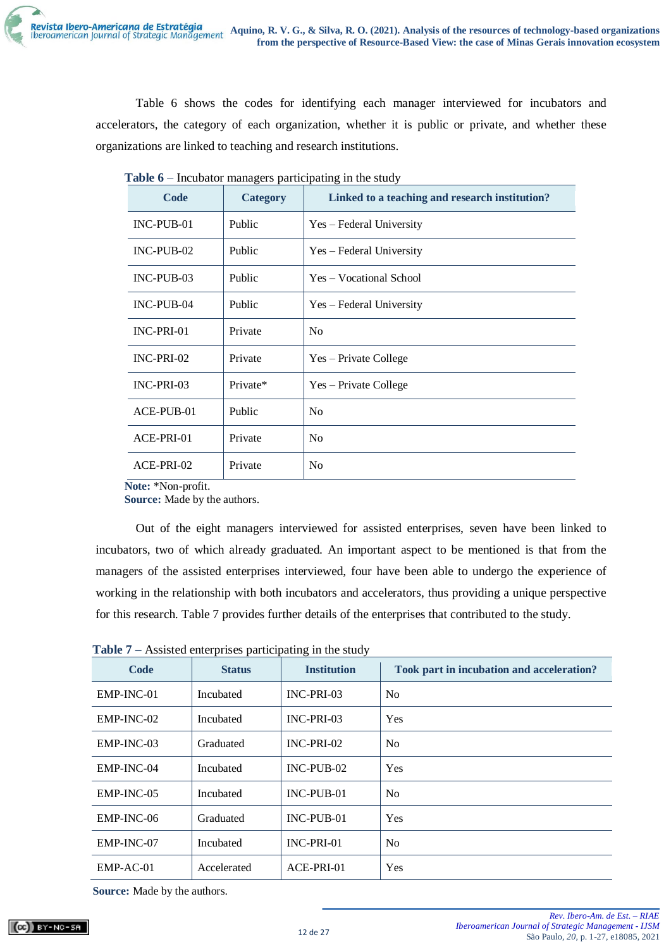Table 6 shows the codes for identifying each manager interviewed for incubators and accelerators, the category of each organization, whether it is public or private, and whether these organizations are linked to teaching and research institutions.

| Code         | <b>Category</b> | Linked to a teaching and research institution? |
|--------------|-----------------|------------------------------------------------|
| $INC-PUB-01$ | Public          | Yes – Federal University                       |
| $INC-PUB-02$ | Public          | Yes – Federal University                       |
| $INC-PUB-03$ | Public          | Yes – Vocational School                        |
| INC-PUB-04   | Public          | Yes – Federal University                       |
| INC-PRI-01   | Private         | N <sub>0</sub>                                 |
| INC-PRI-02   | Private         | Yes – Private College                          |
| INC-PRI-03   | Private*        | Yes – Private College                          |
| ACE-PUB-01   | Public          | N <sub>o</sub>                                 |
| ACE-PRI-01   | Private         | No                                             |
| ACE-PRI-02   | Private         | N <sub>0</sub>                                 |

**Table 6** – Incubator managers participating in the study

**Note:** \*Non-profit.

**Source:** Made by the authors.

Out of the eight managers interviewed for assisted enterprises, seven have been linked to incubators, two of which already graduated. An important aspect to be mentioned is that from the managers of the assisted enterprises interviewed, four have been able to undergo the experience of working in the relationship with both incubators and accelerators, thus providing a unique perspective for this research. Table 7 provides further details of the enterprises that contributed to the study.

**Table 7 –** Assisted enterprises participating in the study

| Code         | <b>Status</b> | <b>Institution</b> | Took part in incubation and acceleration? |
|--------------|---------------|--------------------|-------------------------------------------|
| $EMP-INC-01$ | Incubated     | INC-PRI-03         | N <sub>0</sub>                            |
| EMP-INC-02   | Incubated     | INC-PRI-03         | <b>Yes</b>                                |
| $EMP-INC-03$ | Graduated     | INC-PRI-02         | N <sub>o</sub>                            |
| EMP-INC-04   | Incubated     | $INC-PUB-02$       | <b>Yes</b>                                |
| EMP-INC-05   | Incubated     | $INC-PUB-01$       | N <sub>0</sub>                            |
| EMP-INC-06   | Graduated     | $INC-PIJB-01$      | Yes                                       |
| EMP-INC-07   | Incubated     | $INC-PRI-01$       | N <sub>o</sub>                            |
| $EMP-AC-01$  | Accelerated   | $ACE-PRI-01$       | <b>Yes</b>                                |

**Source:** Made by the authors.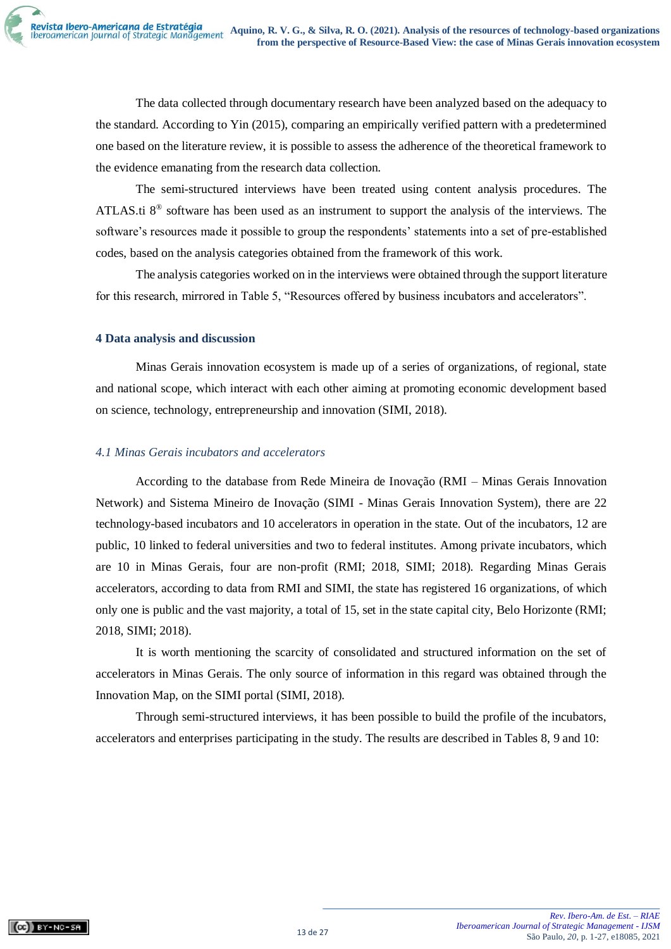The data collected through documentary research have been analyzed based on the adequacy to the standard. According to Yin (2015), comparing an empirically verified pattern with a predetermined one based on the literature review, it is possible to assess the adherence of the theoretical framework to the evidence emanating from the research data collection.

The semi-structured interviews have been treated using content analysis procedures. The ATLAS.ti  $8^{\circ}$  software has been used as an instrument to support the analysis of the interviews. The software's resources made it possible to group the respondents' statements into a set of pre-established codes, based on the analysis categories obtained from the framework of this work.

The analysis categories worked on in the interviews were obtained through the support literature for this research, mirrored in Table 5, "Resources offered by business incubators and accelerators".

### **4 Data analysis and discussion**

Minas Gerais innovation ecosystem is made up of a series of organizations, of regional, state and national scope, which interact with each other aiming at promoting economic development based on science, technology, entrepreneurship and innovation (SIMI, 2018).

### *4.1 Minas Gerais incubators and accelerators*

According to the database from Rede Mineira de Inovação (RMI – Minas Gerais Innovation Network) and Sistema Mineiro de Inovação (SIMI - Minas Gerais Innovation System), there are 22 technology-based incubators and 10 accelerators in operation in the state. Out of the incubators, 12 are public, 10 linked to federal universities and two to federal institutes. Among private incubators, which are 10 in Minas Gerais, four are non-profit (RMI; 2018, SIMI; 2018). Regarding Minas Gerais accelerators, according to data from RMI and SIMI, the state has registered 16 organizations, of which only one is public and the vast majority, a total of 15, set in the state capital city, Belo Horizonte (RMI; 2018, SIMI; 2018).

It is worth mentioning the scarcity of consolidated and structured information on the set of accelerators in Minas Gerais. The only source of information in this regard was obtained through the Innovation Map, on the SIMI portal (SIMI, 2018).

Through semi-structured interviews, it has been possible to build the profile of the incubators, accelerators and enterprises participating in the study. The results are described in Tables 8, 9 and 10: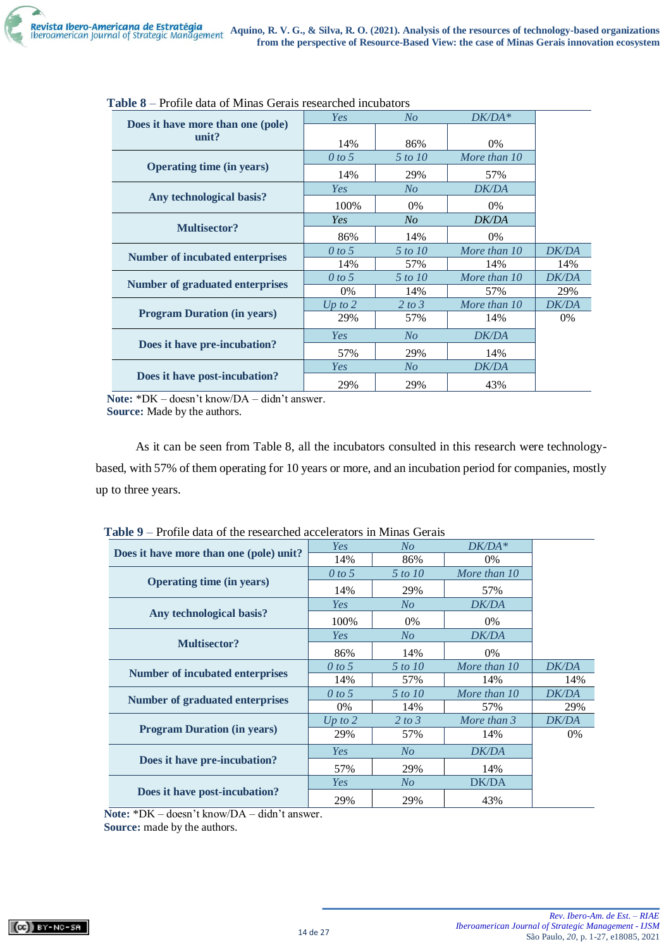|                                            | Yes       | N <sub>O</sub> | $DK/DA*$     |              |
|--------------------------------------------|-----------|----------------|--------------|--------------|
| Does it have more than one (pole)<br>unit? |           |                |              |              |
|                                            | 14%       | 86%            | $0\%$        |              |
|                                            | 0 to 5    | 5 to 10        | More than 10 |              |
| <b>Operating time (in years)</b>           | 14%       | 29%            | 57%          |              |
|                                            | Yes       | N <sub>O</sub> | <b>DK/DA</b> |              |
| Any technological basis?                   | 100%      | 0%             | $0\%$        |              |
|                                            | Yes       | N <sub>O</sub> | <b>DK/DA</b> |              |
| <b>Multisector?</b>                        | 86%       | 14%            | $0\%$        |              |
| Number of incubated enterprises            | 0 to 5    | 5 to 10        | More than 10 | <b>DK/DA</b> |
|                                            | 14%       | 57%            | 14%          | 14%          |
| Number of graduated enterprises            | 0 to 5    | 5 to 10        | More than 10 | <b>DK/DA</b> |
|                                            | 0%        | 14%            | 57%          | 29%          |
|                                            | Up to $2$ | 2 to 3         | More than 10 | <b>DK/DA</b> |
| <b>Program Duration (in years)</b>         | 29%       | 57%            | 14%          | $0\%$        |
|                                            | Yes       | N <sub>O</sub> | <b>DK/DA</b> |              |
| Does it have pre-incubation?               | 57%       | 29%            | 14%          |              |
|                                            | Yes       | $N_{O}$        | <b>DK/DA</b> |              |
| Does it have post-incubation?              | 29%       | 29%            | 43%          |              |

| <b>Table 8</b> – Profile data of Minas Gerais researched incubators |  |  |  |  |  |  |
|---------------------------------------------------------------------|--|--|--|--|--|--|
|---------------------------------------------------------------------|--|--|--|--|--|--|

**Note:** \*DK – doesn't know/DA – didn't answer. **Source:** Made by the authors.

As it can be seen from Table 8, all the incubators consulted in this research were technologybased, with 57% of them operating for 10 years or more, and an incubation period for companies, mostly up to three years.

| raviv s                                 | TTOMO GAIA OF the researched accelerators in ignitias Octais |                |              |              |  |  |
|-----------------------------------------|--------------------------------------------------------------|----------------|--------------|--------------|--|--|
|                                         | Yes                                                          | $N_{O}$        | $DK/DA*$     |              |  |  |
| Does it have more than one (pole) unit? | 14%                                                          | 86%            | $0\%$        |              |  |  |
|                                         | 0 to 5                                                       | 5 to 10        | More than 10 |              |  |  |
| <b>Operating time (in years)</b>        | 14%                                                          | 29%            | 57%          |              |  |  |
|                                         | Yes                                                          | N <sub>O</sub> | <b>DK/DA</b> |              |  |  |
| Any technological basis?                | 100%                                                         | 0%             | 0%           |              |  |  |
|                                         | Yes                                                          | N <sub>O</sub> | <b>DK/DA</b> |              |  |  |
| <b>Multisector?</b>                     | 86%                                                          | 14%            | $0\%$        |              |  |  |
| <b>Number of incubated enterprises</b>  | 0 to 5                                                       | 5 to 10        | More than 10 | DK/DA        |  |  |
|                                         | 14%                                                          | 57%            | 14%          | 14%          |  |  |
| <b>Number of graduated enterprises</b>  | 0 to 5                                                       | 5 to 10        | More than 10 | DK/DA        |  |  |
|                                         | 0%                                                           | 14%            | 57%          | 29%          |  |  |
|                                         | Up to $2$                                                    | 2 to 3         | More than 3  | <b>DK/DA</b> |  |  |
| <b>Program Duration (in years)</b>      | 29%                                                          | 57%            | 14%          | $0\%$        |  |  |
|                                         | Yes                                                          | $N_{O}$        | <b>DK/DA</b> |              |  |  |
| Does it have pre-incubation?            | 57%                                                          | 29%            | 14%          |              |  |  |
|                                         | Yes                                                          | N <sub>O</sub> | DK/DA        |              |  |  |
| Does it have post-incubation?           | 29%                                                          | 29%            | 43%          |              |  |  |

| <b>Table 9</b> – Profile data of the researched accelerators in Minas Gerais |  |  |  |
|------------------------------------------------------------------------------|--|--|--|
|------------------------------------------------------------------------------|--|--|--|

**Note:** \*DK – doesn't know/DA – didn't answer.

**Source:** made by the authors.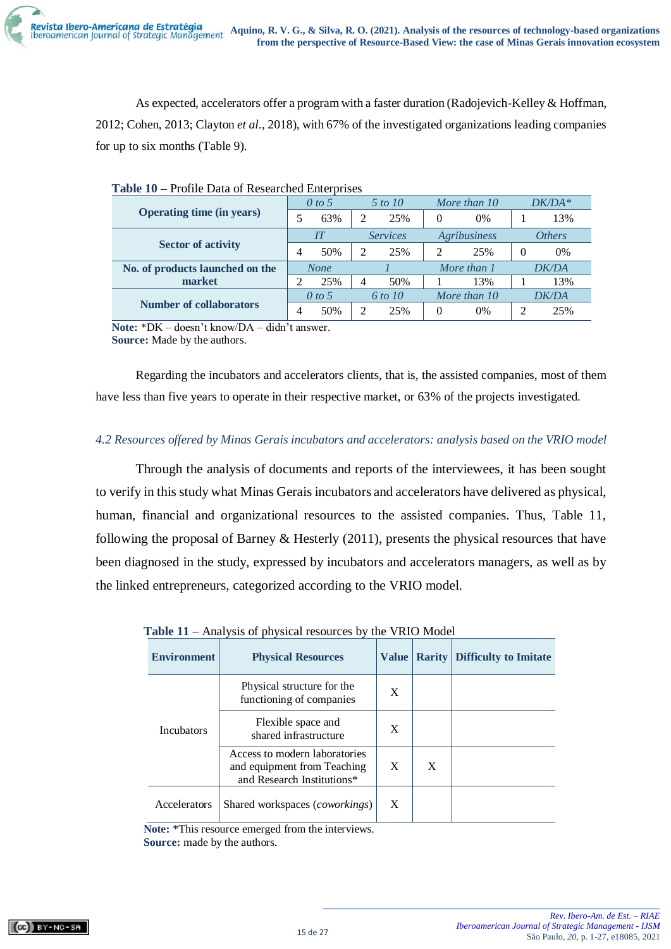As expected, accelerators offer a program with a faster duration (Radojevich-Kelley & Hoffman, 2012; Cohen, 2013; Clayton *et al*., 2018), with 67% of the investigated organizations leading companies for up to six months (Table 9).

|                                  |   | 0 to 5      |   | 5 to 10         |                | More than 10        |          | $DK/DA*$      |  |
|----------------------------------|---|-------------|---|-----------------|----------------|---------------------|----------|---------------|--|
| <b>Operating time (in years)</b> |   | 63%         | っ | 25%             | 0              | 0%                  |          | 13%           |  |
|                                  |   | И           |   | <b>Services</b> |                | <b>Agribusiness</b> |          | <b>Others</b> |  |
| <b>Sector of activity</b>        | 4 | 50%         | っ | 25%             | $\mathfrak{D}$ | 25%                 | $\Omega$ | 0%            |  |
| No. of products launched on the  |   | <b>None</b> |   |                 |                | More than 1         |          | DK/DA         |  |
| market                           | ∍ | 25%         | 4 | 50%             |                | 13%                 |          | 13%           |  |
|                                  |   | $0$ to 5    |   | 6 to 10         |                | More than 10        |          | DK/DA         |  |
| <b>Number of collaborators</b>   |   | 50%         | ↑ | 25%             | 0              | 0%                  | 2        | 25%           |  |

**Note:** \*DK – doesn't know/DA – didn't answer. **Source:** Made by the authors.

Regarding the incubators and accelerators clients, that is, the assisted companies, most of them have less than five years to operate in their respective market, or 63% of the projects investigated.

# *4.2 Resources offered by Minas Gerais incubators and accelerators: analysis based on the VRIO model*

Through the analysis of documents and reports of the interviewees, it has been sought to verify in this study what Minas Gerais incubators and accelerators have delivered as physical, human, financial and organizational resources to the assisted companies. Thus, Table 11, following the proposal of Barney & Hesterly (2011), presents the physical resources that have been diagnosed in the study, expressed by incubators and accelerators managers, as well as by the linked entrepreneurs, categorized according to the VRIO model.

| <b>Environment</b> | <b>Physical Resources</b>                                                                  | <b>Value</b> |   | <b>Rarity Difficulty to Imitate</b> |
|--------------------|--------------------------------------------------------------------------------------------|--------------|---|-------------------------------------|
|                    | Physical structure for the<br>functioning of companies                                     | X            |   |                                     |
| <b>Incubators</b>  | Flexible space and<br>shared infrastructure                                                | X            |   |                                     |
|                    | Access to modern laboratories<br>and equipment from Teaching<br>and Research Institutions* | X            | X |                                     |
| Accelerators       | Shared workspaces ( <i>coworkings</i> )                                                    | X            |   |                                     |

|  | Table 11 – Analysis of physical resources by the VRIO Model |  |  |  |
|--|-------------------------------------------------------------|--|--|--|
|  |                                                             |  |  |  |

**Note:** \*This resource emerged from the interviews. **Source:** made by the authors.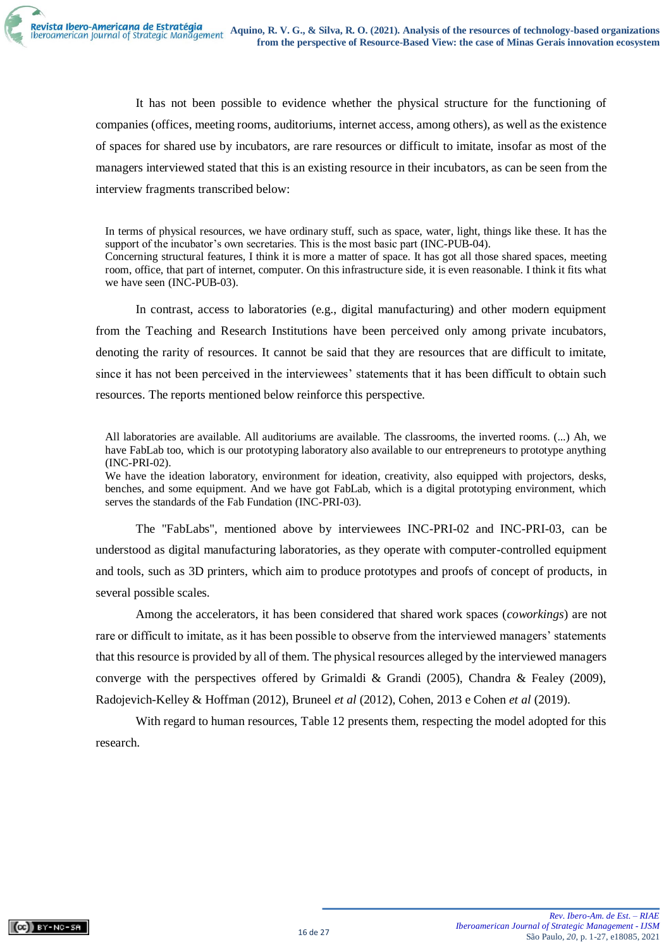It has not been possible to evidence whether the physical structure for the functioning of companies (offices, meeting rooms, auditoriums, internet access, among others), as well as the existence of spaces for shared use by incubators, are rare resources or difficult to imitate, insofar as most of the managers interviewed stated that this is an existing resource in their incubators, as can be seen from the interview fragments transcribed below:

In terms of physical resources, we have ordinary stuff, such as space, water, light, things like these. It has the support of the incubator's own secretaries. This is the most basic part (INC-PUB-04). Concerning structural features, I think it is more a matter of space. It has got all those shared spaces, meeting room, office, that part of internet, computer. On this infrastructure side, it is even reasonable. I think it fits what we have seen (INC-PUB-03).

In contrast, access to laboratories (e.g., digital manufacturing) and other modern equipment from the Teaching and Research Institutions have been perceived only among private incubators, denoting the rarity of resources. It cannot be said that they are resources that are difficult to imitate, since it has not been perceived in the interviewees' statements that it has been difficult to obtain such resources. The reports mentioned below reinforce this perspective.

All laboratories are available. All auditoriums are available. The classrooms, the inverted rooms. (...) Ah, we have FabLab too, which is our prototyping laboratory also available to our entrepreneurs to prototype anything (INC-PRI-02).

We have the ideation laboratory, environment for ideation, creativity, also equipped with projectors, desks, benches, and some equipment. And we have got FabLab, which is a digital prototyping environment, which serves the standards of the Fab Fundation (INC-PRI-03).

The "FabLabs", mentioned above by interviewees INC-PRI-02 and INC-PRI-03, can be understood as digital manufacturing laboratories, as they operate with computer-controlled equipment and tools, such as 3D printers, which aim to produce prototypes and proofs of concept of products, in several possible scales.

Among the accelerators, it has been considered that shared work spaces (*coworkings*) are not rare or difficult to imitate, as it has been possible to observe from the interviewed managers' statements that this resource is provided by all of them. The physical resources alleged by the interviewed managers converge with the perspectives offered by Grimaldi & Grandi (2005), Chandra & Fealey (2009), Radojevich-Kelley & Hoffman (2012), Bruneel *et al* (2012), Cohen, 2013 e Cohen *et al* (2019).

With regard to human resources, Table 12 presents them, respecting the model adopted for this research.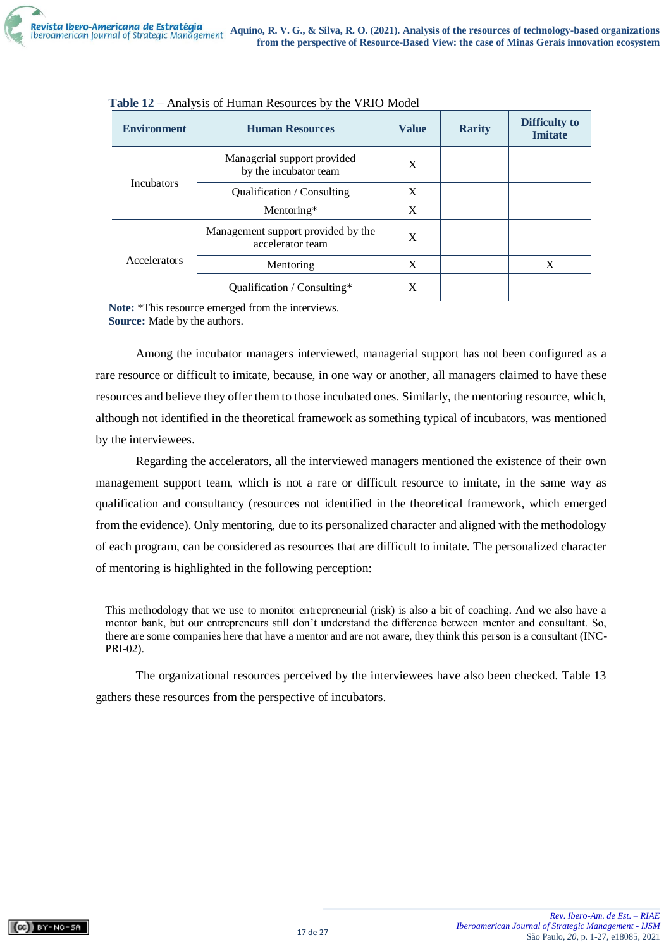| <b>Environment</b> | <b>Human Resources</b>                                 | <b>Value</b> | <b>Rarity</b> | <b>Difficulty to</b><br><b>Imitate</b> |
|--------------------|--------------------------------------------------------|--------------|---------------|----------------------------------------|
|                    | Managerial support provided<br>by the incubator team   | X            |               |                                        |
| <b>Incubators</b>  | <b>Oualification</b> / Consulting                      | X            |               |                                        |
|                    | Mentoring*                                             | X            |               |                                        |
|                    | Management support provided by the<br>accelerator team | X            |               |                                        |
| Accelerators       | Mentoring                                              | X            |               | X                                      |
|                    | Qualification / $Consulting*$                          | X            |               |                                        |

| Table 12 – Analysis of Human Resources by the VRIO Model |  |
|----------------------------------------------------------|--|
|----------------------------------------------------------|--|

**Note:** \*This resource emerged from the interviews. **Source:** Made by the authors.

Among the incubator managers interviewed, managerial support has not been configured as a rare resource or difficult to imitate, because, in one way or another, all managers claimed to have these resources and believe they offer them to those incubated ones. Similarly, the mentoring resource, which, although not identified in the theoretical framework as something typical of incubators, was mentioned by the interviewees.

Regarding the accelerators, all the interviewed managers mentioned the existence of their own management support team, which is not a rare or difficult resource to imitate, in the same way as qualification and consultancy (resources not identified in the theoretical framework, which emerged from the evidence). Only mentoring, due to its personalized character and aligned with the methodology of each program, can be considered as resources that are difficult to imitate. The personalized character of mentoring is highlighted in the following perception:

This methodology that we use to monitor entrepreneurial (risk) is also a bit of coaching. And we also have a mentor bank, but our entrepreneurs still don't understand the difference between mentor and consultant. So, there are some companies here that have a mentor and are not aware, they think this person is a consultant (INC-PRI-02).

The organizational resources perceived by the interviewees have also been checked. Table 13 gathers these resources from the perspective of incubators.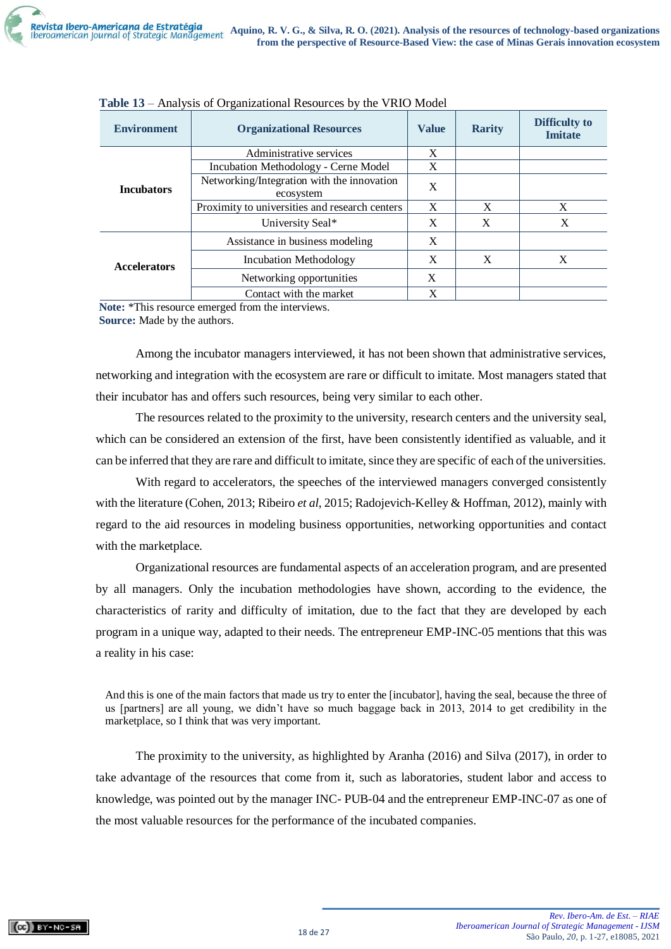| <b>Environment</b>  | <b>Organizational Resources</b>                         | <b>Value</b> | <b>Rarity</b> | Difficulty to<br><b>Imitate</b> |
|---------------------|---------------------------------------------------------|--------------|---------------|---------------------------------|
|                     | Administrative services                                 | X            |               |                                 |
|                     | Incubation Methodology - Cerne Model                    | X            |               |                                 |
| <b>Incubators</b>   | Networking/Integration with the innovation<br>ecosystem |              |               |                                 |
|                     | Proximity to universities and research centers          | X            | X             | X                               |
|                     | University Seal*                                        | X            | X             | X                               |
|                     | Assistance in business modeling                         | X            |               |                                 |
| <b>Accelerators</b> | Incubation Methodology                                  | X            | X             | X                               |
|                     | Networking opportunities                                | X            |               |                                 |
|                     | Contact with the market                                 | X            |               |                                 |

| Table 13 - Analysis of Organizational Resources by the VRIO Model |  |  |
|-------------------------------------------------------------------|--|--|
|                                                                   |  |  |

**Note:** \*This resource emerged from the interviews.

**Source:** Made by the authors.

Among the incubator managers interviewed, it has not been shown that administrative services, networking and integration with the ecosystem are rare or difficult to imitate. Most managers stated that their incubator has and offers such resources, being very similar to each other.

The resources related to the proximity to the university, research centers and the university seal, which can be considered an extension of the first, have been consistently identified as valuable, and it can be inferred that they are rare and difficult to imitate, since they are specific of each of the universities.

With regard to accelerators, the speeches of the interviewed managers converged consistently with the literature (Cohen, 2013; Ribeiro *et al*, 2015; Radojevich-Kelley & Hoffman, 2012), mainly with regard to the aid resources in modeling business opportunities, networking opportunities and contact with the marketplace.

Organizational resources are fundamental aspects of an acceleration program, and are presented by all managers. Only the incubation methodologies have shown, according to the evidence, the characteristics of rarity and difficulty of imitation, due to the fact that they are developed by each program in a unique way, adapted to their needs. The entrepreneur EMP-INC-05 mentions that this was a reality in his case:

And this is one of the main factors that made us try to enter the [incubator], having the seal, because the three of us [partners] are all young, we didn't have so much baggage back in 2013, 2014 to get credibility in the marketplace, so I think that was very important.

The proximity to the university, as highlighted by Aranha (2016) and Silva (2017), in order to take advantage of the resources that come from it, such as laboratories, student labor and access to knowledge, was pointed out by the manager INC- PUB-04 and the entrepreneur EMP-INC-07 as one of the most valuable resources for the performance of the incubated companies.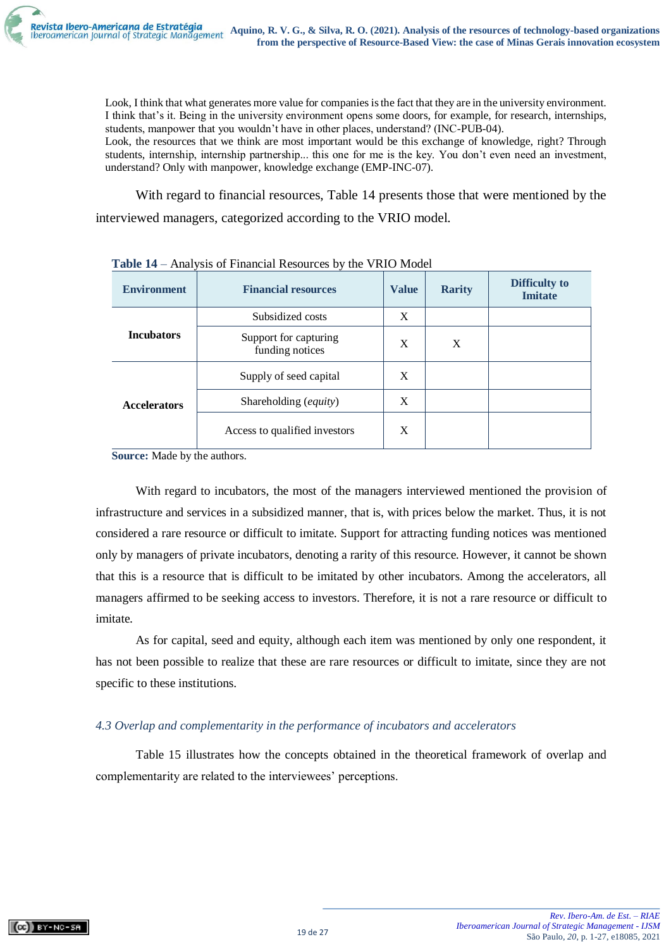

Look, I think that what generates more value for companies is the fact that they are in the university environment. I think that's it. Being in the university environment opens some doors, for example, for research, internships, students, manpower that you wouldn't have in other places, understand? (INC-PUB-04).

Look, the resources that we think are most important would be this exchange of knowledge, right? Through students, internship, internship partnership... this one for me is the key. You don't even need an investment, understand? Only with manpower, knowledge exchange (EMP-INC-07).

With regard to financial resources, Table 14 presents those that were mentioned by the interviewed managers, categorized according to the VRIO model.

| <b>Environment</b>  | <b>Financial resources</b>               | <b>Value</b> | <b>Rarity</b> | <b>Difficulty to</b><br><b>Imitate</b> |
|---------------------|------------------------------------------|--------------|---------------|----------------------------------------|
|                     | Subsidized costs                         | X            |               |                                        |
| <b>Incubators</b>   | Support for capturing<br>funding notices | X            | X             |                                        |
| <b>Accelerators</b> | Supply of seed capital                   | X            |               |                                        |
|                     | Shareholding (equity)                    | X            |               |                                        |
|                     | Access to qualified investors            | X            |               |                                        |

**Table 14** – Analysis of Financial Resources by the VRIO Model

**Source:** Made by the authors.

With regard to incubators, the most of the managers interviewed mentioned the provision of infrastructure and services in a subsidized manner, that is, with prices below the market. Thus, it is not considered a rare resource or difficult to imitate. Support for attracting funding notices was mentioned only by managers of private incubators, denoting a rarity of this resource. However, it cannot be shown that this is a resource that is difficult to be imitated by other incubators. Among the accelerators, all managers affirmed to be seeking access to investors. Therefore, it is not a rare resource or difficult to imitate.

As for capital, seed and equity, although each item was mentioned by only one respondent, it has not been possible to realize that these are rare resources or difficult to imitate, since they are not specific to these institutions.

# *4.3 Overlap and complementarity in the performance of incubators and accelerators*

Table 15 illustrates how the concepts obtained in the theoretical framework of overlap and complementarity are related to the interviewees' perceptions.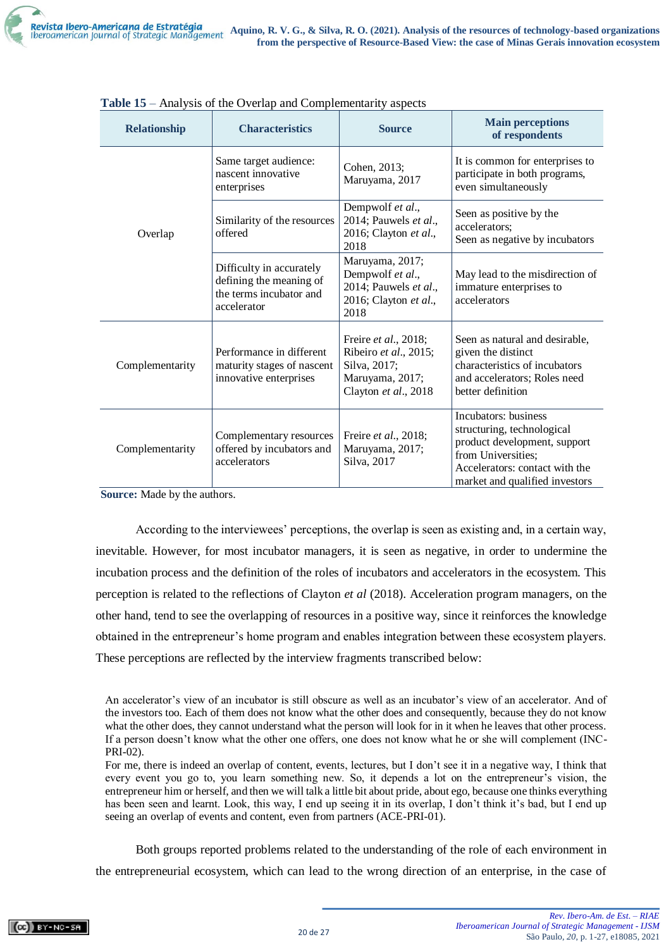| <b>Relationship</b> | Thur, bib of the SVGRp and Comprementary<br><b>Characteristics</b>                            | <b>Source</b>                                                                                            | <b>Main perceptions</b><br>of respondents                                                                                                                                    |
|---------------------|-----------------------------------------------------------------------------------------------|----------------------------------------------------------------------------------------------------------|------------------------------------------------------------------------------------------------------------------------------------------------------------------------------|
|                     | Same target audience:<br>nascent innovative<br>enterprises                                    | Cohen, 2013;<br>Maruyama, 2017                                                                           | It is common for enterprises to<br>participate in both programs,<br>even simultaneously                                                                                      |
| Overlap             | Similarity of the resources<br>offered                                                        | Dempwolf et al.,<br>2014; Pauwels et al.,<br>2016; Clayton et al.,<br>2018                               | Seen as positive by the<br>accelerators;<br>Seen as negative by incubators                                                                                                   |
|                     | Difficulty in accurately<br>defining the meaning of<br>the terms incubator and<br>accelerator | Maruyama, 2017;<br>Dempwolf et al.,<br>2014; Pauwels et al.,<br>2016; Clayton et al.,<br>2018            | May lead to the misdirection of<br>immature enterprises to<br>accelerators                                                                                                   |
| Complementarity     | Performance in different<br>maturity stages of nascent<br>innovative enterprises              | Freire et al., 2018;<br>Ribeiro et al., 2015;<br>Silva, 2017;<br>Maruyama, 2017;<br>Clayton et al., 2018 | Seen as natural and desirable,<br>given the distinct<br>characteristics of incubators<br>and accelerators; Roles need<br>better definition                                   |
| Complementarity     | Complementary resources<br>offered by incubators and<br>accelerators                          | Freire et al., 2018;<br>Maruyama, 2017;<br>Silva, 2017                                                   | Incubators: business<br>structuring, technological<br>product development, support<br>from Universities;<br>Accelerators: contact with the<br>market and qualified investors |

|  | Table 15 – Analysis of the Overlap and Complementarity aspects |  |
|--|----------------------------------------------------------------|--|
|  |                                                                |  |

**Source:** Made by the authors.

According to the interviewees' perceptions, the overlap is seen as existing and, in a certain way, inevitable. However, for most incubator managers, it is seen as negative, in order to undermine the incubation process and the definition of the roles of incubators and accelerators in the ecosystem. This perception is related to the reflections of Clayton *et al* (2018). Acceleration program managers, on the other hand, tend to see the overlapping of resources in a positive way, since it reinforces the knowledge obtained in the entrepreneur's home program and enables integration between these ecosystem players. These perceptions are reflected by the interview fragments transcribed below:

Both groups reported problems related to the understanding of the role of each environment in the entrepreneurial ecosystem, which can lead to the wrong direction of an enterprise, in the case of

An accelerator's view of an incubator is still obscure as well as an incubator's view of an accelerator. And of the investors too. Each of them does not know what the other does and consequently, because they do not know what the other does, they cannot understand what the person will look for in it when he leaves that other process. If a person doesn't know what the other one offers, one does not know what he or she will complement (INC-PRI-02).

For me, there is indeed an overlap of content, events, lectures, but I don't see it in a negative way, I think that every event you go to, you learn something new. So, it depends a lot on the entrepreneur's vision, the entrepreneur him or herself, and then we will talk a little bit about pride, about ego, because one thinks everything has been seen and learnt. Look, this way, I end up seeing it in its overlap, I don't think it's bad, but I end up seeing an overlap of events and content, even from partners (ACE-PRI-01).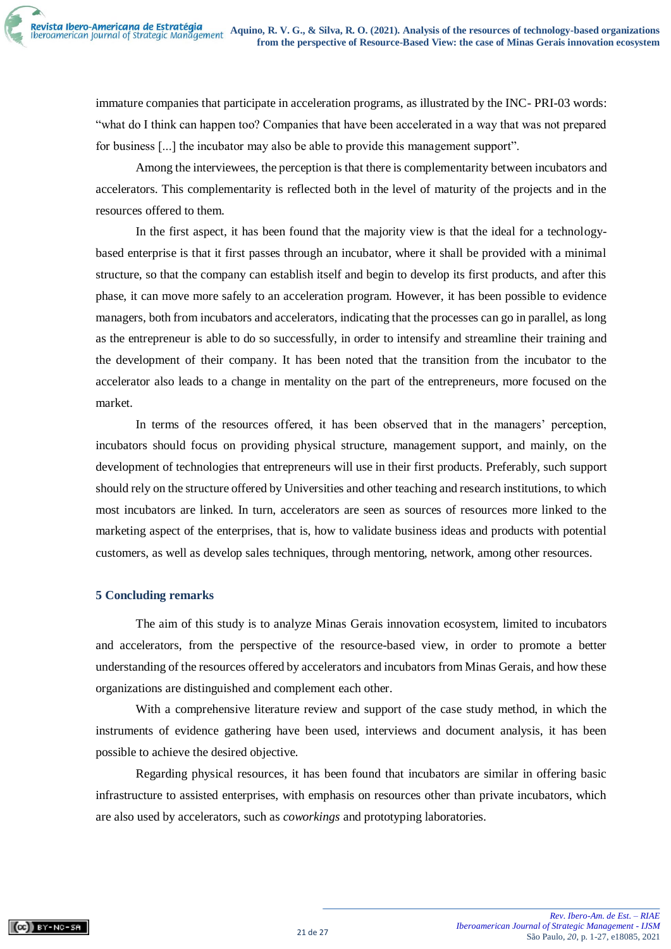immature companies that participate in acceleration programs, as illustrated by the INC- PRI-03 words: "what do I think can happen too? Companies that have been accelerated in a way that was not prepared for business [...] the incubator may also be able to provide this management support".

Among the interviewees, the perception is that there is complementarity between incubators and accelerators. This complementarity is reflected both in the level of maturity of the projects and in the resources offered to them.

In the first aspect, it has been found that the majority view is that the ideal for a technologybased enterprise is that it first passes through an incubator, where it shall be provided with a minimal structure, so that the company can establish itself and begin to develop its first products, and after this phase, it can move more safely to an acceleration program. However, it has been possible to evidence managers, both from incubators and accelerators, indicating that the processes can go in parallel, as long as the entrepreneur is able to do so successfully, in order to intensify and streamline their training and the development of their company. It has been noted that the transition from the incubator to the accelerator also leads to a change in mentality on the part of the entrepreneurs, more focused on the market.

In terms of the resources offered, it has been observed that in the managers' perception, incubators should focus on providing physical structure, management support, and mainly, on the development of technologies that entrepreneurs will use in their first products. Preferably, such support should rely on the structure offered by Universities and other teaching and research institutions, to which most incubators are linked. In turn, accelerators are seen as sources of resources more linked to the marketing aspect of the enterprises, that is, how to validate business ideas and products with potential customers, as well as develop sales techniques, through mentoring, network, among other resources.

## **5 Concluding remarks**

The aim of this study is to analyze Minas Gerais innovation ecosystem, limited to incubators and accelerators, from the perspective of the resource-based view, in order to promote a better understanding of the resources offered by accelerators and incubators from Minas Gerais, and how these organizations are distinguished and complement each other.

With a comprehensive literature review and support of the case study method, in which the instruments of evidence gathering have been used, interviews and document analysis, it has been possible to achieve the desired objective.

Regarding physical resources, it has been found that incubators are similar in offering basic infrastructure to assisted enterprises, with emphasis on resources other than private incubators, which are also used by accelerators, such as *coworkings* and prototyping laboratories.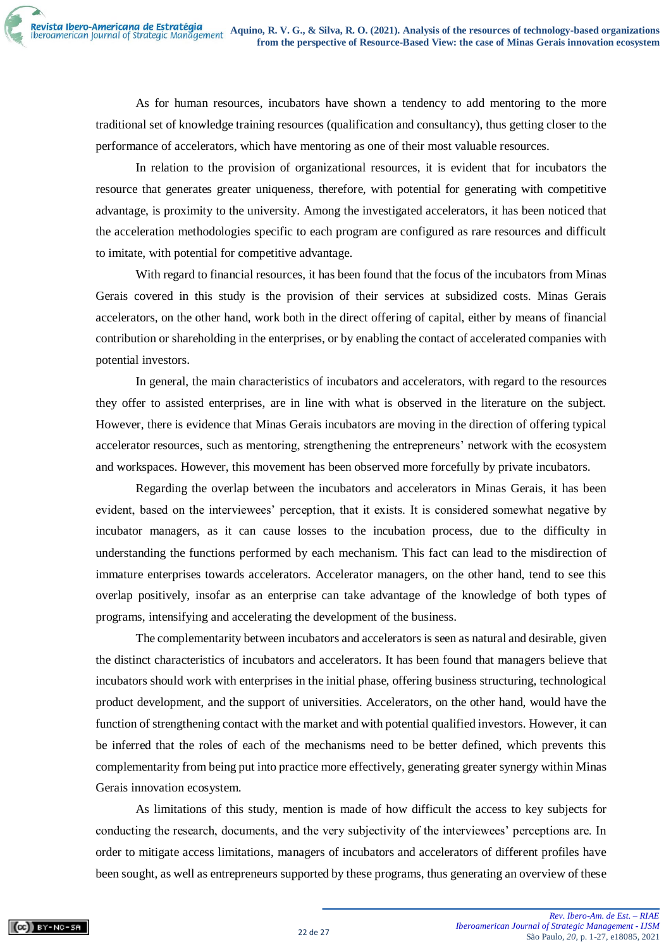As for human resources, incubators have shown a tendency to add mentoring to the more traditional set of knowledge training resources (qualification and consultancy), thus getting closer to the performance of accelerators, which have mentoring as one of their most valuable resources.

In relation to the provision of organizational resources, it is evident that for incubators the resource that generates greater uniqueness, therefore, with potential for generating with competitive advantage, is proximity to the university. Among the investigated accelerators, it has been noticed that the acceleration methodologies specific to each program are configured as rare resources and difficult to imitate, with potential for competitive advantage.

With regard to financial resources, it has been found that the focus of the incubators from Minas Gerais covered in this study is the provision of their services at subsidized costs. Minas Gerais accelerators, on the other hand, work both in the direct offering of capital, either by means of financial contribution or shareholding in the enterprises, or by enabling the contact of accelerated companies with potential investors.

In general, the main characteristics of incubators and accelerators, with regard to the resources they offer to assisted enterprises, are in line with what is observed in the literature on the subject. However, there is evidence that Minas Gerais incubators are moving in the direction of offering typical accelerator resources, such as mentoring, strengthening the entrepreneurs' network with the ecosystem and workspaces. However, this movement has been observed more forcefully by private incubators.

Regarding the overlap between the incubators and accelerators in Minas Gerais, it has been evident, based on the interviewees' perception, that it exists. It is considered somewhat negative by incubator managers, as it can cause losses to the incubation process, due to the difficulty in understanding the functions performed by each mechanism. This fact can lead to the misdirection of immature enterprises towards accelerators. Accelerator managers, on the other hand, tend to see this overlap positively, insofar as an enterprise can take advantage of the knowledge of both types of programs, intensifying and accelerating the development of the business.

The complementarity between incubators and accelerators is seen as natural and desirable, given the distinct characteristics of incubators and accelerators. It has been found that managers believe that incubators should work with enterprises in the initial phase, offering business structuring, technological product development, and the support of universities. Accelerators, on the other hand, would have the function of strengthening contact with the market and with potential qualified investors. However, it can be inferred that the roles of each of the mechanisms need to be better defined, which prevents this complementarity from being put into practice more effectively, generating greater synergy within Minas Gerais innovation ecosystem.

As limitations of this study, mention is made of how difficult the access to key subjects for conducting the research, documents, and the very subjectivity of the interviewees' perceptions are. In order to mitigate access limitations, managers of incubators and accelerators of different profiles have been sought, as well as entrepreneurs supported by these programs, thus generating an overview of these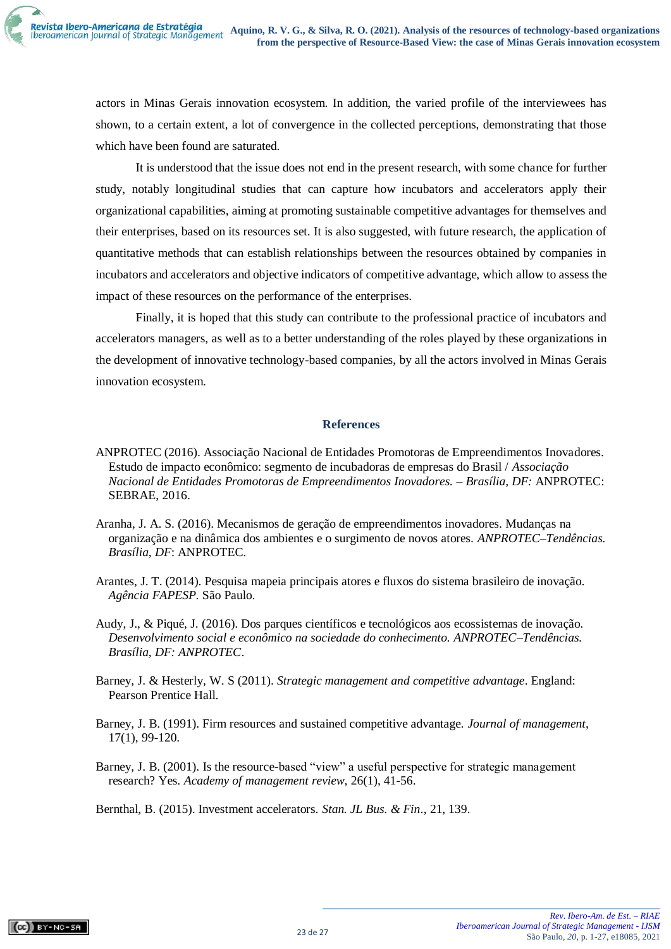actors in Minas Gerais innovation ecosystem. In addition, the varied profile of the interviewees has shown, to a certain extent, a lot of convergence in the collected perceptions, demonstrating that those which have been found are saturated.

It is understood that the issue does not end in the present research, with some chance for further study, notably longitudinal studies that can capture how incubators and accelerators apply their organizational capabilities, aiming at promoting sustainable competitive advantages for themselves and their enterprises, based on its resources set. It is also suggested, with future research, the application of quantitative methods that can establish relationships between the resources obtained by companies in incubators and accelerators and objective indicators of competitive advantage, which allow to assess the impact of these resources on the performance of the enterprises.

Finally, it is hoped that this study can contribute to the professional practice of incubators and accelerators managers, as well as to a better understanding of the roles played by these organizations in the development of innovative technology-based companies, by all the actors involved in Minas Gerais innovation ecosystem.

## **References**

- ANPROTEC (2016). Associação Nacional de Entidades Promotoras de Empreendimentos Inovadores. Estudo de impacto econômico: segmento de incubadoras de empresas do Brasil / *Associação Nacional de Entidades Promotoras de Empreendimentos Inovadores. – Brasília, DF:* ANPROTEC: SEBRAE, 2016.
- Aranha, J. A. S. (2016). Mecanismos de geração de empreendimentos inovadores. Mudanças na organização e na dinâmica dos ambientes e o surgimento de novos atores. *ANPROTEC–Tendências. Brasília, DF*: ANPROTEC.
- Arantes, J. T. (2014). Pesquisa mapeia principais atores e fluxos do sistema brasileiro de inovação. *Agência FAPESP*. São Paulo.
- Audy, J., & Piqué, J. (2016). Dos parques científicos e tecnológicos aos ecossistemas de inovação. *Desenvolvimento social e econômico na sociedade do conhecimento. ANPROTEC–Tendências. Brasília, DF: ANPROTEC*.
- Barney, J. & Hesterly, W. S (2011). *Strategic management and competitive advantage*. England: Pearson Prentice Hall.
- Barney, J. B. (1991). Firm resources and sustained competitive advantage. *Journal of management*, 17(1), 99-120.
- Barney, J. B. (2001). Is the resource-based "view" a useful perspective for strategic management research? Yes. *Academy of management review*, 26(1), 41-56.

Bernthal, B. (2015). Investment accelerators. *Stan. JL Bus. & Fin*., 21, 139.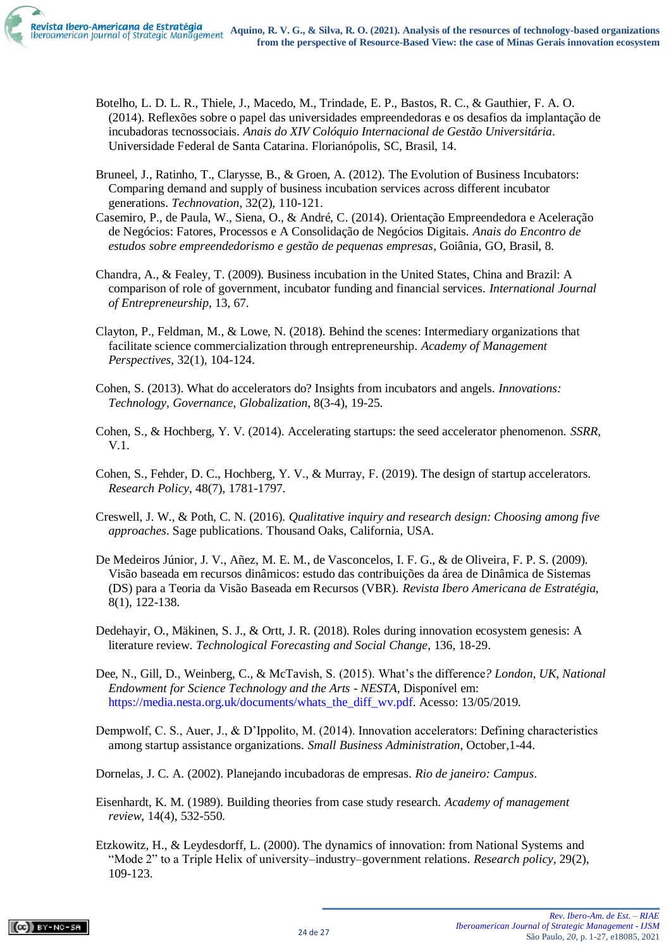

- Botelho, L. D. L. R., Thiele, J., Macedo, M., Trindade, E. P., Bastos, R. C., & Gauthier, F. A. O. (2014). Reflexões sobre o papel das universidades empreendedoras e os desafios da implantação de incubadoras tecnossociais. *Anais do XIV Colóquio Internacional de Gestão Universitária*. Universidade Federal de Santa Catarina. Florianópolis, SC, Brasil, 14.
- Bruneel, J., Ratinho, T., Clarysse, B., & Groen, A. (2012). The Evolution of Business Incubators: Comparing demand and supply of business incubation services across different incubator generations. *Technovation*, 32(2), 110-121.
- Casemiro, P., de Paula, W., Siena, O., & André, C. (2014). Orientação Empreendedora e Aceleração de Negócios: Fatores, Processos e A Consolidação de Negócios Digitais. *Anais do Encontro de estudos sobre empreendedorismo e gestão de pequenas empresas*, Goiânia, GO, Brasil, 8.
- Chandra, A., & Fealey, T. (2009). Business incubation in the United States, China and Brazil: A comparison of role of government, incubator funding and financial services. *International Journal of Entrepreneurship*, 13, 67.
- Clayton, P., Feldman, M., & Lowe, N. (2018). Behind the scenes: Intermediary organizations that facilitate science commercialization through entrepreneurship. *Academy of Management Perspectives*, 32(1), 104-124.
- Cohen, S. (2013). What do accelerators do? Insights from incubators and angels. *Innovations: Technology, Governance, Globalization*, 8(3-4), 19-25.
- Cohen, S., & Hochberg, Y. V. (2014). Accelerating startups: the seed accelerator phenomenon. *SSRR*, V.1.
- Cohen, S., Fehder, D. C., Hochberg, Y. V., & Murray, F. (2019). The design of startup accelerators. *Research Policy*, 48(7), 1781-1797.
- Creswell, J. W., & Poth, C. N. (2016). *Qualitative inquiry and research design: Choosing among five approaches*. Sage publications. Thousand Oaks, California, USA.
- De Medeiros Júnior, J. V., Añez, M. E. M., de Vasconcelos, I. F. G., & de Oliveira, F. P. S. (2009). Visão baseada em recursos dinâmicos: estudo das contribuições da área de Dinâmica de Sistemas (DS) para a Teoria da Visão Baseada em Recursos (VBR). *Revista Ibero Americana de Estratégia*, 8(1), 122-138.
- Dedehayir, O., Mäkinen, S. J., & Ortt, J. R. (2018). Roles during innovation ecosystem genesis: A literature review. *Technological Forecasting and Social Change*, 136, 18-29.
- Dee, N., Gill, D., Weinberg, C., & McTavish, S. (2015). What's the difference*? London, UK, National Endowment for Science Technology and the Arts* - *NESTA*, Disponível em: [https://media.nesta.org.uk/documents/whats\\_the\\_diff\\_wv.pdf.](https://media.nesta.org.uk/documents/whats_the_diff_wv.pdf) Acesso: 13/05/2019.
- Dempwolf, C. S., Auer, J., & D'Ippolito, M. (2014). Innovation accelerators: Defining characteristics among startup assistance organizations. *Small Business Administration*, October,1-44.
- Dornelas, J. C. A. (2002). Planejando incubadoras de empresas. *Rio de janeiro: Campus*.
- Eisenhardt, K. M. (1989). Building theories from case study research. *Academy of management review*, 14(4), 532-550.
- Etzkowitz, H., & Leydesdorff, L. (2000). The dynamics of innovation: from National Systems and "Mode 2" to a Triple Helix of university–industry–government relations. *Research policy*, 29(2), 109-123.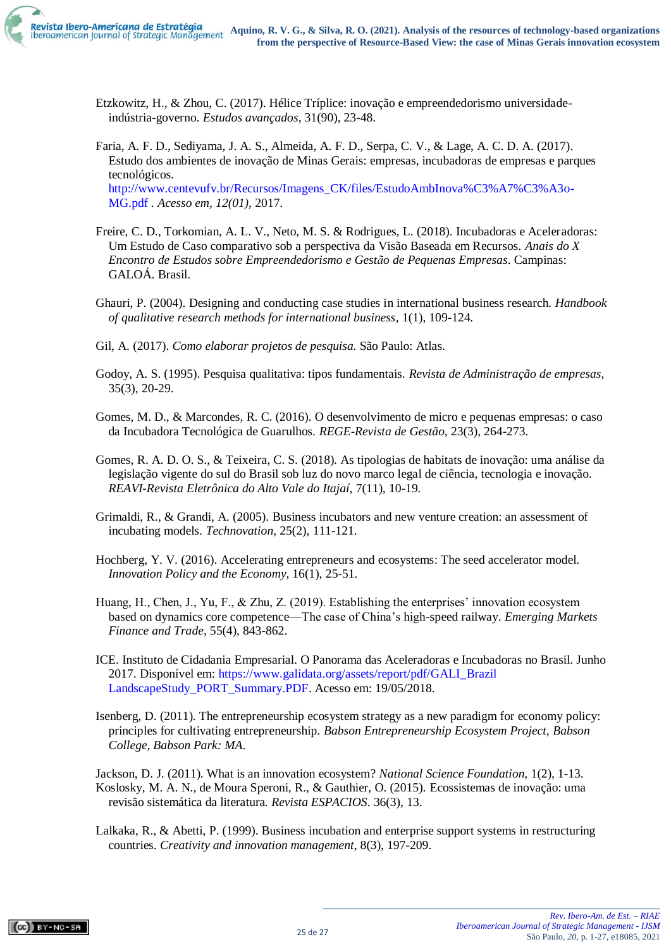

- Etzkowitz, H., & Zhou, C. (2017). Hélice Tríplice: inovação e empreendedorismo universidadeindústria-governo. *Estudos avançados*, 31(90), 23-48.
- Faria, A. F. D., Sediyama, J. A. S., Almeida, A. F. D., Serpa, C. V., & Lage, A. C. D. A. (2017). Estudo dos ambientes de inovação de Minas Gerais: empresas, incubadoras de empresas e parques tecnológicos. [http://www.centevufv.br/Recursos/Imagens\\_CK/files/EstudoAmbInova%C3%A7%C3%A3o-](http://www.centevufv.br/Recursos/Imagens_CK/files/EstudoAmbInova%C3%A7%C3%A3o-MG.pdf)

[MG.pdf](http://www.centevufv.br/Recursos/Imagens_CK/files/EstudoAmbInova%C3%A7%C3%A3o-MG.pdf) *. Acesso em, 12(01)*, 2017.

- Freire, C. D., Torkomian, A. L. V., Neto, M. S. & Rodrigues, L. (2018). Incubadoras e Aceleradoras: Um Estudo de Caso comparativo sob a perspectiva da Visão Baseada em Recursos. *Anais do X Encontro de Estudos sobre Empreendedorismo e Gestão de Pequenas Empresas*. Campinas: GALOÁ. Brasil.
- Ghauri, P. (2004). Designing and conducting case studies in international business research. *Handbook of qualitative research methods for international business*, 1(1), 109-124.
- Gil, A. (2017). *Como elaborar projetos de pesquisa.* São Paulo: Atlas.
- Godoy, A. S. (1995). Pesquisa qualitativa: tipos fundamentais. *Revista de Administração de empresas*, 35(3), 20-29.
- Gomes, M. D., & Marcondes, R. C. (2016). O desenvolvimento de micro e pequenas empresas: o caso da Incubadora Tecnológica de Guarulhos. *REGE-Revista de Gestão*, 23(3), 264-273.
- Gomes, R. A. D. O. S., & Teixeira, C. S. (2018). As tipologias de habitats de inovação: uma análise da legislação vigente do sul do Brasil sob luz do novo marco legal de ciência, tecnologia e inovação. *REAVI-Revista Eletrônica do Alto Vale do Itajaí*, 7(11), 10-19.
- Grimaldi, R., & Grandi, A. (2005). Business incubators and new venture creation: an assessment of incubating models. *Technovation*, 25(2), 111-121.
- Hochberg, Y. V. (2016). Accelerating entrepreneurs and ecosystems: The seed accelerator model. *Innovation Policy and the Economy*, 16(1), 25-51.
- Huang, H., Chen, J., Yu, F., & Zhu, Z. (2019). Establishing the enterprises' innovation ecosystem based on dynamics core competence—The case of China's high-speed railway. *Emerging Markets Finance and Trade*, 55(4), 843-862.
- ICE. Instituto de Cidadania Empresarial. O Panorama das Aceleradoras e Incubadoras no Brasil. Junho 2017. Disponível em: [https://www.galidata.org/assets/report/pdf/GALI\\_Brazil](https://www.galidata.org/assets/report/pdf/GALI_Brazil%20LandscapeStudy_PORT_Summary.PDF)  [LandscapeStudy\\_PORT\\_Summary.PDF.](https://www.galidata.org/assets/report/pdf/GALI_Brazil%20LandscapeStudy_PORT_Summary.PDF) Acesso em: 19/05/2018.
- Isenberg, D. (2011). The entrepreneurship ecosystem strategy as a new paradigm for economy policy: principles for cultivating entrepreneurship. *Babson Entrepreneurship Ecosystem Project, Babson College, Babson Park: MA*.

Jackson, D. J. (2011). What is an innovation ecosystem? *National Science Foundation*, 1(2), 1-13. Koslosky, M. A. N., de Moura Speroni, R., & Gauthier, O. (2015). Ecossistemas de inovação: uma revisão sistemática da literatura*. Revista ESPACIOS*. 36(3), 13.

Lalkaka, R., & Abetti, P. (1999). Business incubation and enterprise support systems in restructuring countries. *Creativity and innovation management*, 8(3), 197-209.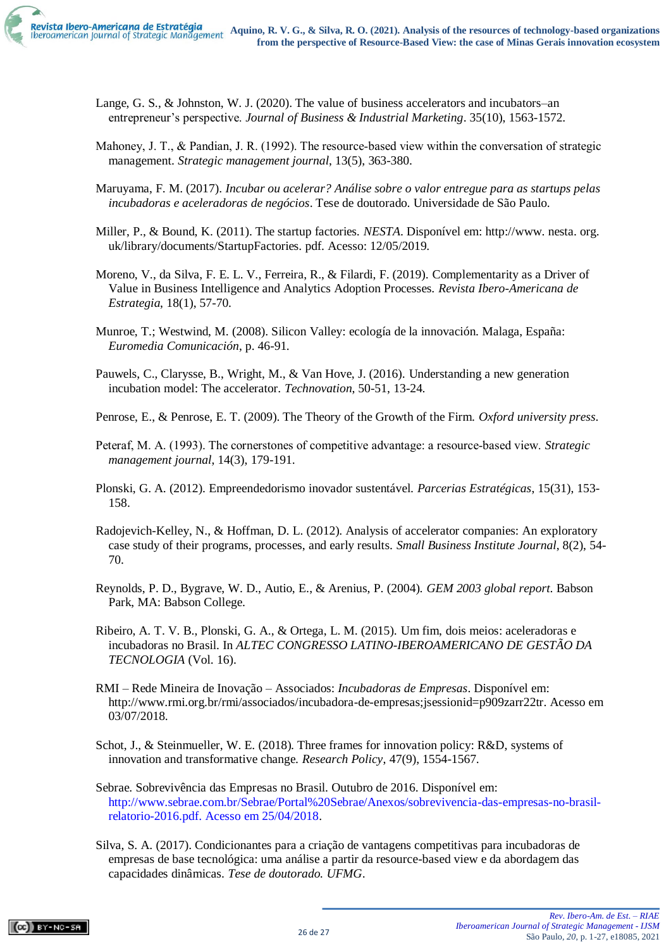

- Lange, G. S., & Johnston, W. J. (2020). The value of business accelerators and incubators–an entrepreneur's perspective. *Journal of Business & Industrial Marketing*. 35(10), 1563-1572.
- Mahoney, J. T., & Pandian, J. R. (1992). The resource-based view within the conversation of strategic management. *Strategic management journal*, 13(5), 363-380.
- Maruyama, F. M. (2017). *Incubar ou acelerar? Análise sobre o valor entregue para as startups pelas incubadoras e aceleradoras de negócios*. Tese de doutorado. Universidade de São Paulo.
- Miller, P., & Bound, K. (2011). The startup factories. *NESTA*. Disponível em: http://www. nesta. org. uk/library/documents/StartupFactories. pdf. Acesso: 12/05/2019.
- Moreno, V., da Silva, F. E. L. V., Ferreira, R., & Filardi, F. (2019). Complementarity as a Driver of Value in Business Intelligence and Analytics Adoption Processes. *Revista Ibero-Americana de Estrategia*, 18(1), 57-70.
- Munroe, T.; Westwind, M. (2008). Silicon Valley: ecología de la innovación. Malaga, España: *Euromedia Comunicación*, p. 46-91.
- Pauwels, C., Clarysse, B., Wright, M., & Van Hove, J. (2016). Understanding a new generation incubation model: The accelerator. *Technovation*, 50-51, 13-24.

Penrose, E., & Penrose, E. T. (2009). The Theory of the Growth of the Firm. *Oxford university press*.

- Peteraf, M. A. (1993). The cornerstones of competitive advantage: a resource‐based view. *Strategic management journal*, 14(3), 179-191.
- Plonski, G. A. (2012). Empreendedorismo inovador sustentável. *Parcerias Estratégicas*, 15(31), 153- 158.
- Radojevich-Kelley, N., & Hoffman, D. L. (2012). Analysis of accelerator companies: An exploratory case study of their programs, processes, and early results. *Small Business Institute Journal*, 8(2), 54- 70.
- Reynolds, P. D., Bygrave, W. D., Autio, E., & Arenius, P. (2004). *GEM 2003 global report*. Babson Park, MA: Babson College.
- Ribeiro, A. T. V. B., Plonski, G. A., & Ortega, L. M. (2015). Um fim, dois meios: aceleradoras e incubadoras no Brasil. In *ALTEC CONGRESSO LATINO-IBEROAMERICANO DE GESTÃO DA TECNOLOGIA* (Vol. 16).
- RMI Rede Mineira de Inovação Associados: *Incubadoras de Empresas*. Disponível em: http://www.rmi.org.br/rmi/associados/incubadora-de-empresas;jsessionid=p909zarr22tr. Acesso em 03/07/2018.
- Schot, J., & Steinmueller, W. E. (2018). Three frames for innovation policy: R&D, systems of innovation and transformative change. *Research Policy*, 47(9), 1554-1567.
- Sebrae. Sobrevivência das Empresas no Brasil. Outubro de 2016. Disponível em: [http://www.sebrae.com.br/Sebrae/Portal%20Sebrae/Anexos/sobrevivencia-das-empresas-no-brasil](http://www.sebrae.com.br/Sebrae/Portal%20Sebrae/Anexos/sobrevivencia-das-empresas-no-brasil-relatorio-2016.pdf.%20Acesso%20em%2025/04/2018)[relatorio-2016.pdf. Acesso em 25/04/2018.](http://www.sebrae.com.br/Sebrae/Portal%20Sebrae/Anexos/sobrevivencia-das-empresas-no-brasil-relatorio-2016.pdf.%20Acesso%20em%2025/04/2018)
- Silva, S. A. (2017). Condicionantes para a criação de vantagens competitivas para incubadoras de empresas de base tecnológica: uma análise a partir da resource-based view e da abordagem das capacidades dinâmicas. *Tese de doutorado. UFMG*.